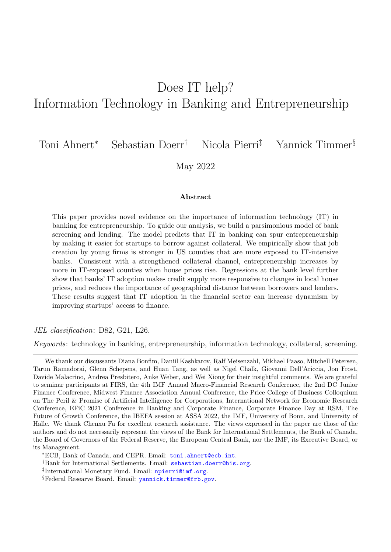# Does IT help? Information Technology in Banking and Entrepreneurship

Toni Ahnert<sup>∗</sup> Sebastian Doerr† Nicola Pierri‡ Yannick Timmer§

May 2022

#### Abstract

This paper provides novel evidence on the importance of information technology (IT) in banking for entrepreneurship. To guide our analysis, we build a parsimonious model of bank screening and lending. The model predicts that IT in banking can spur entrepreneurship by making it easier for startups to borrow against collateral. We empirically show that job creation by young firms is stronger in US counties that are more exposed to IT-intensive banks. Consistent with a strengthened collateral channel, entrepreneurship increases by more in IT-exposed counties when house prices rise. Regressions at the bank level further show that banks' IT adoption makes credit supply more responsive to changes in local house prices, and reduces the importance of geographical distance between borrowers and lenders. These results suggest that IT adoption in the financial sector can increase dynamism by improving startups' access to finance.

JEL classification: D82, G21, L26.

Keywords: technology in banking, entrepreneurship, information technology, collateral, screening.

We thank our discussants Diana Bonfim, Daniil Kashkarov, Ralf Meisenzahl, Mikhael Paaso, Mitchell Petersen, Tarun Ramadorai, Glenn Schepens, and Huan Tang, as well as Nigel Chalk, Giovanni Dell'Ariccia, Jon Frost, Davide Malacrino, Andrea Presbitero, Anke Weber, and Wei Xiong for their insightful comments. We are grateful to seminar participants at FIRS, the 4th IMF Annual Macro-Financial Research Conference, the 2nd DC Junior Finance Conference, Midwest Finance Association Annual Conference, the Price College of Business Colloquium on The Peril & Promise of Artificial Intelligence for Corporations, International Network for Economic Research Conference, EFiC 2021 Conference in Banking and Corporate Finance, Corporate Finance Day at RSM, The Future of Growth Conference, the IBEFA session at ASSA 2022, the IMF, University of Bonn, and University of Halle. We thank Chenxu Fu for excellent research assistance. The views expressed in the paper are those of the authors and do not necessarily represent the views of the Bank for International Settlements, the Bank of Canada, the Board of Governors of the Federal Reserve, the European Central Bank, nor the IMF, its Executive Board, or its Management.

<sup>∗</sup>ECB, Bank of Canada, and CEPR. Email: [toni.ahnert@ecb.int](mailto: toni.ahnert@ecb.int).

<sup>&</sup>lt;sup>†</sup>Bank for International Settlements. Email: [sebastian.doerr@bis.org](mailto: sebastian.doerr@bis.org).

<sup>‡</sup> International Monetary Fund. Email: [npierri@imf.org](mailto:npierri@imf.org).

<sup>§</sup>Federal Researve Board. Email: [yannick.timmer@frb.gov](mailto:yannick.timmer@frb.gov).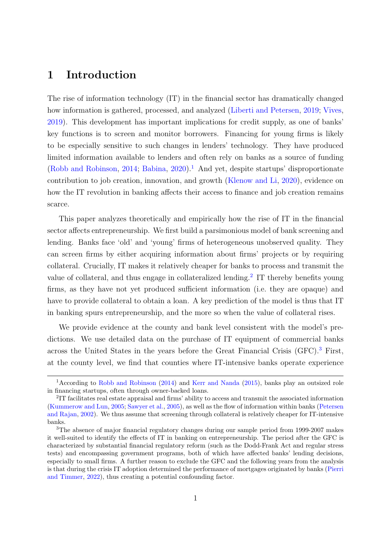# 1 Introduction

The rise of information technology (IT) in the financial sector has dramatically changed how information is gathered, processed, and analyzed [\(Liberti and Petersen,](#page-40-0) [2019;](#page-40-0) [Vives,](#page-42-0) [2019\)](#page-42-0). This development has important implications for credit supply, as one of banks' key functions is to screen and monitor borrowers. Financing for young firms is likely to be especially sensitive to such changes in lenders' technology. They have produced limited information available to lenders and often rely on banks as a source of funding [\(Robb and Robinson,](#page-42-1) [2014;](#page-42-1) [Babina,](#page-36-0) [2020\)](#page-36-0).<sup>[1](#page-1-0)</sup> And yet, despite startups' disproportionate contribution to job creation, innovation, and growth [\(Klenow and Li,](#page-40-1) [2020\)](#page-40-1), evidence on how the IT revolution in banking affects their access to finance and job creation remains scarce.

This paper analyzes theoretically and empirically how the rise of IT in the financial sector affects entrepreneurship. We first build a parsimonious model of bank screening and lending. Banks face 'old' and 'young' firms of heterogeneous unobserved quality. They can screen firms by either acquiring information about firms' projects or by requiring collateral. Crucially, IT makes it relatively cheaper for banks to process and transmit the value of collateral, and thus engage in collateralized lending.<sup>[2](#page-1-1)</sup> IT thereby benefits young firms, as they have not yet produced sufficient information (i.e. they are opaque) and have to provide collateral to obtain a loan. A key prediction of the model is thus that IT in banking spurs entrepreneurship, and the more so when the value of collateral rises.

We provide evidence at the county and bank level consistent with the model's predictions. We use detailed data on the purchase of IT equipment of commercial banks across the United States in the years before the Great Financial Crisis (GFC).[3](#page-1-2) First, at the county level, we find that counties where IT-intensive banks operate experience

<span id="page-1-0"></span><sup>&</sup>lt;sup>1</sup> According to [Robb and Robinson](#page-42-1) [\(2014\)](#page-42-1) and [Kerr and Nanda](#page-40-2) [\(2015\)](#page-40-2), banks play an outsized role in financing startups, often through owner-backed loans.

<span id="page-1-1"></span><sup>2</sup> IT facilitates real estate appraisal and firms' ability to access and transmit the associated information [\(Kummerow and Lun,](#page-40-3) [2005;](#page-40-3) [Sawyer et al.,](#page-42-2) [2005\)](#page-42-2), as well as the flow of information within banks [\(Petersen](#page-41-0) [and Rajan,](#page-41-0) [2002\)](#page-41-0). We thus assume that screening through collateral is relatively cheaper for IT-intensive banks.

<span id="page-1-2"></span><sup>&</sup>lt;sup>3</sup>The absence of major financial regulatory changes during our sample period from 1999-2007 makes it well-suited to identify the effects of IT in banking on entrepreneurship. The period after the GFC is characterized by substantial financial regulatory reform (such as the Dodd-Frank Act and regular stress tests) and encompassing government programs, both of which have affected banks' lending decisions, especially to small firms. A further reason to exclude the GFC and the following years from the analysis is that during the crisis IT adoption determined the performance of mortgages originated by banks [\(Pierri](#page-41-1) [and Timmer,](#page-41-1) [2022\)](#page-41-1), thus creating a potential confounding factor.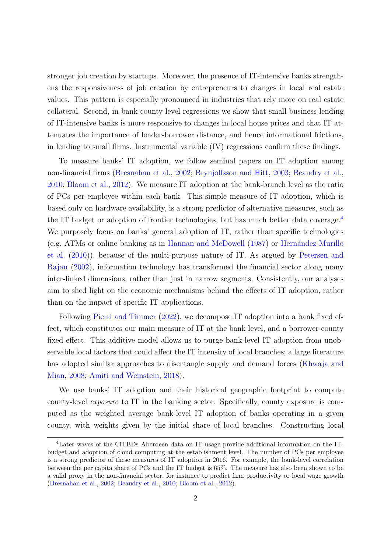stronger job creation by startups. Moreover, the presence of IT-intensive banks strengthens the responsiveness of job creation by entrepreneurs to changes in local real estate values. This pattern is especially pronounced in industries that rely more on real estate collateral. Second, in bank-county level regressions we show that small business lending of IT-intensive banks is more responsive to changes in local house prices and that IT attenuates the importance of lender-borrower distance, and hence informational frictions, in lending to small firms. Instrumental variable (IV) regressions confirm these findings.

To measure banks' IT adoption, we follow seminal papers on IT adoption among non-financial firms [\(Bresnahan et al.,](#page-37-0) [2002;](#page-37-0) [Brynjolfsson and Hitt,](#page-37-1) [2003;](#page-37-1) [Beaudry et al.,](#page-36-1) [2010;](#page-36-1) [Bloom et al.,](#page-37-2) [2012\)](#page-37-2). We measure IT adoption at the bank-branch level as the ratio of PCs per employee within each bank. This simple measure of IT adoption, which is based only on hardware availability, is a strong predictor of alternative measures, such as the IT budget or adoption of frontier technologies, but has much better data coverage.<sup>[4](#page-2-0)</sup> We purposely focus on banks' general adoption of IT, rather than specific technologies (e.g. ATMs or online banking as in [Hannan and McDowell](#page-39-0)  $(1987)$  or Hernández-Murillo [et al.](#page-39-1) [\(2010\)](#page-39-1)), because of the multi-purpose nature of IT. As argued by [Petersen and](#page-41-0) [Rajan](#page-41-0) [\(2002\)](#page-41-0), information technology has transformed the financial sector along many inter-linked dimensions, rather than just in narrow segments. Consistently, our analyses aim to shed light on the economic mechanisms behind the effects of IT adoption, rather than on the impact of specific IT applications.

Following [Pierri and Timmer](#page-41-1) [\(2022\)](#page-41-1), we decompose IT adoption into a bank fixed effect, which constitutes our main measure of IT at the bank level, and a borrower-county fixed effect. This additive model allows us to purge bank-level IT adoption from unobservable local factors that could affect the IT intensity of local branches; a large literature has adopted similar approaches to disentangle supply and demand forces [\(Khwaja and](#page-40-4) [Mian,](#page-40-4) [2008;](#page-40-4) [Amiti and Weinstein,](#page-36-2) [2018\)](#page-36-2).

We use banks' IT adoption and their historical geographic footprint to compute county-level exposure to IT in the banking sector. Specifically, county exposure is computed as the weighted average bank-level IT adoption of banks operating in a given county, with weights given by the initial share of local branches. Constructing local

<span id="page-2-0"></span><sup>4</sup>Later waves of the CiTBDs Aberdeen data on IT usage provide additional information on the ITbudget and adoption of cloud computing at the establishment level. The number of PCs per employee is a strong predictor of these measures of IT adoption in 2016. For example, the bank-level correlation between the per capita share of PCs and the IT budget is 65%. The measure has also been shown to be a valid proxy in the non-financial sector, for instance to predict firm productivity or local wage growth [\(Bresnahan et al.,](#page-37-0) [2002;](#page-37-0) [Beaudry et al.,](#page-36-1) [2010;](#page-36-1) [Bloom et al.,](#page-37-2) [2012\)](#page-37-2).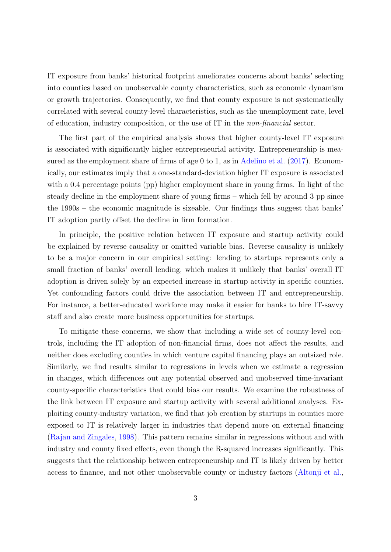IT exposure from banks' historical footprint ameliorates concerns about banks' selecting into counties based on unobservable county characteristics, such as economic dynamism or growth trajectories. Consequently, we find that county exposure is not systematically correlated with several county-level characteristics, such as the unemployment rate, level of education, industry composition, or the use of IT in the non-financial sector.

The first part of the empirical analysis shows that higher county-level IT exposure is associated with significantly higher entrepreneurial activity. Entrepreneurship is mea-sured as the employment share of firms of age 0 to 1, as in [Adelino et al.](#page-36-3) [\(2017\)](#page-36-3). Economically, our estimates imply that a one-standard-deviation higher IT exposure is associated with a 0.4 percentage points (pp) higher employment share in young firms. In light of the steady decline in the employment share of young firms – which fell by around 3 pp since the 1990s – the economic magnitude is sizeable. Our findings thus suggest that banks' IT adoption partly offset the decline in firm formation.

In principle, the positive relation between IT exposure and startup activity could be explained by reverse causality or omitted variable bias. Reverse causality is unlikely to be a major concern in our empirical setting: lending to startups represents only a small fraction of banks' overall lending, which makes it unlikely that banks' overall IT adoption is driven solely by an expected increase in startup activity in specific counties. Yet confounding factors could drive the association between IT and entrepreneurship. For instance, a better-educated workforce may make it easier for banks to hire IT-savvy staff and also create more business opportunities for startups.

To mitigate these concerns, we show that including a wide set of county-level controls, including the IT adoption of non-financial firms, does not affect the results, and neither does excluding counties in which venture capital financing plays an outsized role. Similarly, we find results similar to regressions in levels when we estimate a regression in changes, which differences out any potential observed and unobserved time-invariant county-specific characteristics that could bias our results. We examine the robustness of the link between IT exposure and startup activity with several additional analyses. Exploiting county-industry variation, we find that job creation by startups in counties more exposed to IT is relatively larger in industries that depend more on external financing [\(Rajan and Zingales,](#page-41-2) [1998\)](#page-41-2). This pattern remains similar in regressions without and with industry and county fixed effects, even though the R-squared increases significantly. This suggests that the relationship between entrepreneurship and IT is likely driven by better access to finance, and not other unobservable county or industry factors [\(Altonji et al.,](#page-36-4)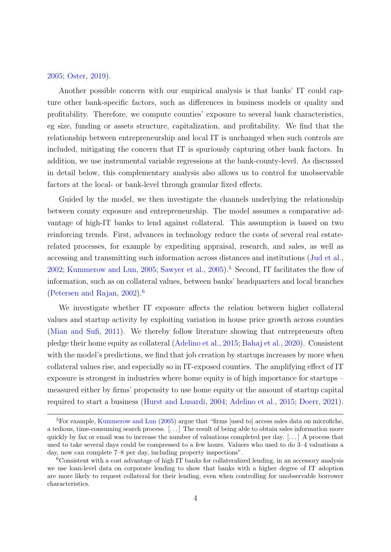#### [2005;](#page-36-4) [Oster,](#page-41-3) [2019\)](#page-41-3).

Another possible concern with our empirical analysis is that banks' IT could capture other bank-specific factors, such as differences in business models or quality and profitability. Therefore, we compute counties' exposure to several bank characteristics, eg size, funding or assets structure, capitalization, and profitability. We find that the relationship between entrepreneurship and local IT is unchanged when such controls are included, mitigating the concern that IT is spuriously capturing other bank factors. In addition, we use instrumental variable regressions at the bank-county-level. As discussed in detail below, this complementary analysis also allows us to control for unobservable factors at the local- or bank-level through granular fixed effects.

Guided by the model, we then investigate the channels underlying the relationship between county exposure and entrepreneurship. The model assumes a comparative advantage of high-IT banks to lend against collateral. This assumption is based on two reinforcing trends. First, advances in technology reduce the costs of several real estaterelated processes, for example by expediting appraisal, research, and sales, as well as accessing and transmitting such information across distances and institutions [\(Jud et al.,](#page-40-5) [2002;](#page-40-5) [Kummerow and Lun,](#page-40-3) [2005;](#page-40-3) [Sawyer et al.,](#page-42-2) [2005\)](#page-42-2).<sup>[5](#page-4-0)</sup> Second, IT facilitates the flow of information, such as on collateral values, between banks' headquarters and local branches [\(Petersen and Rajan,](#page-41-0) [2002\)](#page-41-0).[6](#page-4-1)

We investigate whether IT exposure affects the relation between higher collateral values and startup activity by exploiting variation in house price growth across counties [\(Mian and Sufi,](#page-40-6) [2011\)](#page-40-6). We thereby follow literature showing that entrepreneurs often pledge their home equity as collateral [\(Adelino et al.,](#page-36-5) [2015;](#page-36-5) [Bahaj et al.,](#page-36-6) [2020\)](#page-36-6). Consistent with the model's predictions, we find that job creation by startups increases by more when collateral values rise, and especially so in IT-exposed counties. The amplifying effect of IT exposure is strongest in industries where home equity is of high importance for startups – measured either by firms' propensity to use home equity or the amount of startup capital required to start a business [\(Hurst and Lusardi,](#page-39-2) [2004;](#page-39-2) [Adelino et al.,](#page-36-5) [2015;](#page-36-5) [Doerr,](#page-38-0) [2021\)](#page-38-0).

<span id="page-4-0"></span><sup>&</sup>lt;sup>5</sup>For example, [Kummerow and Lun](#page-40-3) [\(2005\)](#page-40-3) argue that "firms [used to] access sales data on microfiche, a tedious, time-consuming search process. [. . . ] The result of being able to obtain sales information more quickly by fax or email was to increase the number of valuations completed per day.  $[\dots]$  A process that used to take several days could be compressed to a few hours. Valuers who used to do 3–4 valuations a day, now can complete 7–8 per day, including property inspections".

<span id="page-4-1"></span><sup>6</sup>Consistent with a cost advantage of high IT banks for collateralized lending, in an accessory analysis we use loan-level data on corporate lending to show that banks with a higher degree of IT adoption are more likely to request collateral for their lending, even when controlling for unobservable borrower characteristics.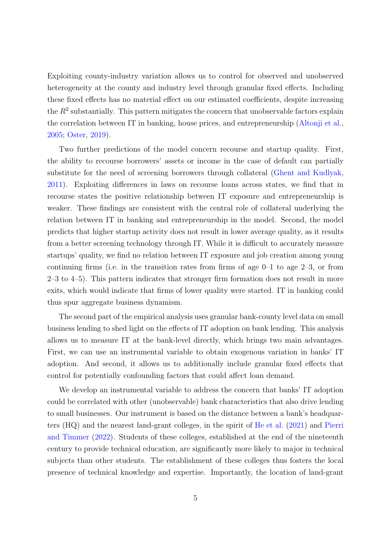Exploiting county-industry variation allows us to control for observed and unobserved heterogeneity at the county and industry level through granular fixed effects. Including these fixed effects has no material effect on our estimated coefficients, despite increasing the  $R<sup>2</sup>$  substantially. This pattern mitigates the concern that unobservable factors explain the correlation between IT in banking, house prices, and entrepreneurship [\(Altonji et al.,](#page-36-4) [2005;](#page-36-4) [Oster,](#page-41-3) [2019\)](#page-41-3).

Two further predictions of the model concern recourse and startup quality. First, the ability to recourse borrowers' assets or income in the case of default can partially substitute for the need of screening borrowers through collateral [\(Ghent and Kudlyak,](#page-38-1) [2011\)](#page-38-1). Exploiting differences in laws on recourse loans across states, we find that in recourse states the positive relationship between IT exposure and entrepreneurship is weaker. These findings are consistent with the central role of collateral underlying the relation between IT in banking and entrepreneurship in the model. Second, the model predicts that higher startup activity does not result in lower average quality, as it results from a better screening technology through IT. While it is difficult to accurately measure startups' quality, we find no relation between IT exposure and job creation among young continuing firms (i.e. in the transition rates from firms of age  $0-1$  to age  $2-3$ , or from  $2-3$  to  $4-5$ ). This pattern indicates that stronger firm formation does not result in more exits, which would indicate that firms of lower quality were started. IT in banking could thus spur aggregate business dynamism.

The second part of the empirical analysis uses granular bank-county level data on small business lending to shed light on the effects of IT adoption on bank lending. This analysis allows us to measure IT at the bank-level directly, which brings two main advantages. First, we can use an instrumental variable to obtain exogenous variation in banks' IT adoption. And second, it allows us to additionally include granular fixed effects that control for potentially confounding factors that could affect loan demand.

We develop an instrumental variable to address the concern that banks' IT adoption could be correlated with other (unobservable) bank characteristics that also drive lending to small businesses. Our instrument is based on the distance between a bank's headquarters (HQ) and the nearest land-grant colleges, in the spirit of [He et al.](#page-39-3) [\(2021\)](#page-39-3) and [Pierri](#page-41-1) [and Timmer](#page-41-1) [\(2022\)](#page-41-1). Students of these colleges, established at the end of the nineteenth century to provide technical education, are significantly more likely to major in technical subjects than other students. The establishment of these colleges thus fosters the local presence of technical knowledge and expertise. Importantly, the location of land-grant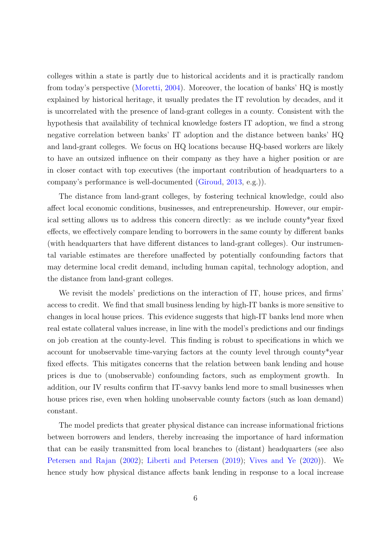colleges within a state is partly due to historical accidents and it is practically random from today's perspective [\(Moretti,](#page-41-4) [2004\)](#page-41-4). Moreover, the location of banks' HQ is mostly explained by historical heritage, it usually predates the IT revolution by decades, and it is uncorrelated with the presence of land-grant colleges in a county. Consistent with the hypothesis that availability of technical knowledge fosters IT adoption, we find a strong negative correlation between banks' IT adoption and the distance between banks' HQ and land-grant colleges. We focus on HQ locations because HQ-based workers are likely to have an outsized influence on their company as they have a higher position or are in closer contact with top executives (the important contribution of headquarters to a company's performance is well-documented [\(Giroud,](#page-38-2) [2013,](#page-38-2) e.g.)).

The distance from land-grant colleges, by fostering technical knowledge, could also affect local economic conditions, businesses, and entrepreneurship. However, our empirical setting allows us to address this concern directly: as we include county\*year fixed effects, we effectively compare lending to borrowers in the same county by different banks (with headquarters that have different distances to land-grant colleges). Our instrumental variable estimates are therefore unaffected by potentially confounding factors that may determine local credit demand, including human capital, technology adoption, and the distance from land-grant colleges.

We revisit the models' predictions on the interaction of IT, house prices, and firms' access to credit. We find that small business lending by high-IT banks is more sensitive to changes in local house prices. This evidence suggests that high-IT banks lend more when real estate collateral values increase, in line with the model's predictions and our findings on job creation at the county-level. This finding is robust to specifications in which we account for unobservable time-varying factors at the county level through county\*year fixed effects. This mitigates concerns that the relation between bank lending and house prices is due to (unobservable) confounding factors, such as employment growth. In addition, our IV results confirm that IT-savvy banks lend more to small businesses when house prices rise, even when holding unobservable county factors (such as loan demand) constant.

The model predicts that greater physical distance can increase informational frictions between borrowers and lenders, thereby increasing the importance of hard information that can be easily transmitted from local branches to (distant) headquarters (see also [Petersen and Rajan](#page-41-0) [\(2002\)](#page-41-0); [Liberti and Petersen](#page-40-0) [\(2019\)](#page-40-0); [Vives and Ye](#page-42-3) [\(2020\)](#page-42-3)). We hence study how physical distance affects bank lending in response to a local increase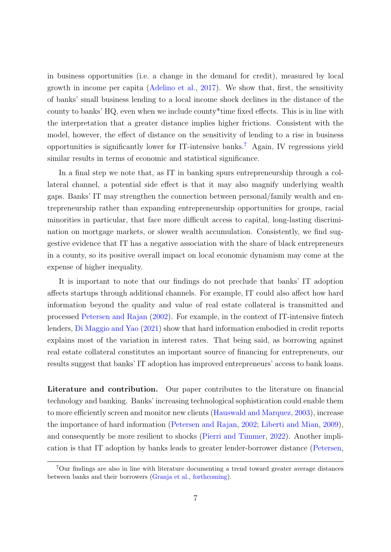in business opportunities (i.e. a change in the demand for credit), measured by local growth in income per capita [\(Adelino et al.,](#page-36-3) [2017\)](#page-36-3). We show that, first, the sensitivity of banks' small business lending to a local income shock declines in the distance of the county to banks' HQ, even when we include county\*time fixed effects. This is in line with the interpretation that a greater distance implies higher frictions. Consistent with the model, however, the effect of distance on the sensitivity of lending to a rise in business opportunities is significantly lower for IT-intensive banks.<sup>[7](#page-7-0)</sup> Again, IV regressions yield similar results in terms of economic and statistical significance.

In a final step we note that, as IT in banking spurs entrepreneurship through a collateral channel, a potential side effect is that it may also magnify underlying wealth gaps. Banks' IT may strengthen the connection between personal/family wealth and entrepreneurship rather than expanding entrepreneurship opportunities for groups, racial minorities in particular, that face more difficult access to capital, long-lasting discrimination on mortgage markets, or slower wealth accumulation. Consistently, we find suggestive evidence that IT has a negative association with the share of black entrepreneurs in a county, so its positive overall impact on local economic dynamism may come at the expense of higher inequality.

It is important to note that our findings do not preclude that banks' IT adoption affects startups through additional channels. For example, IT could also affect how hard information beyond the quality and value of real estate collateral is transmitted and processed [Petersen and Rajan](#page-41-0) [\(2002\)](#page-41-0). For example, in the context of IT-intensive fintech lenders, [Di Maggio and Yao](#page-38-3) [\(2021\)](#page-38-3) show that hard information embodied in credit reports explains most of the variation in interest rates. That being said, as borrowing against real estate collateral constitutes an important source of financing for entrepreneurs, our results suggest that banks' IT adoption has improved entrepreneurs' access to bank loans.

Literature and contribution. Our paper contributes to the literature on financial technology and banking. Banks' increasing technological sophistication could enable them to more efficiently screen and monitor new clients [\(Hauswald and Marquez,](#page-39-4) [2003\)](#page-39-4), increase the importance of hard information [\(Petersen and Rajan,](#page-41-0) [2002;](#page-41-0) [Liberti and Mian,](#page-40-7) [2009\)](#page-40-7), and consequently be more resilient to shocks [\(Pierri and Timmer,](#page-41-1) [2022\)](#page-41-1). Another implication is that IT adoption by banks leads to greater lender-borrower distance [\(Petersen,](#page-41-5)

<span id="page-7-0"></span><sup>7</sup>Our findings are also in line with literature documenting a trend toward greater average distances between banks and their borrowers [\(Granja et al.,](#page-39-5) [forthcoming\)](#page-39-5).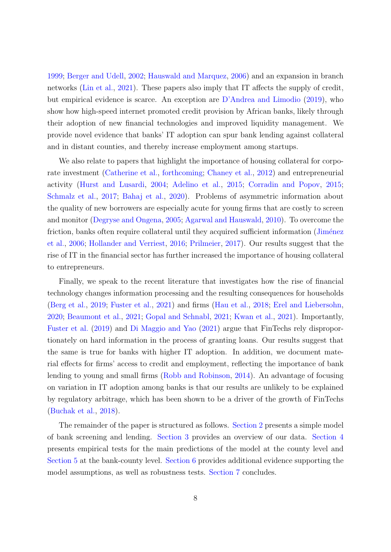[1999;](#page-41-5) [Berger and Udell,](#page-36-7) [2002;](#page-36-7) [Hauswald and Marquez,](#page-39-6) [2006\)](#page-39-6) and an expansion in branch networks [\(Lin et al.,](#page-40-8) [2021\)](#page-40-8). These papers also imply that IT affects the supply of credit, but empirical evidence is scarce. An exception are [D'Andrea and Limodio](#page-38-4) [\(2019\)](#page-38-4), who show how high-speed internet promoted credit provision by African banks, likely through their adoption of new financial technologies and improved liquidity management. We provide novel evidence that banks' IT adoption can spur bank lending against collateral and in distant counties, and thereby increase employment among startups.

We also relate to papers that highlight the importance of housing collateral for corporate investment [\(Catherine et al.,](#page-37-3) [forthcoming;](#page-37-3) [Chaney et al.,](#page-37-4) [2012\)](#page-37-4) and entrepreneurial activity [\(Hurst and Lusardi,](#page-39-2) [2004;](#page-39-2) [Adelino et al.,](#page-36-5) [2015;](#page-36-5) [Corradin and Popov,](#page-37-5) [2015;](#page-37-5) [Schmalz et al.,](#page-42-4) [2017;](#page-42-4) [Bahaj et al.,](#page-36-6) [2020\)](#page-36-6). Problems of asymmetric information about the quality of new borrowers are especially acute for young firms that are costly to screen and monitor [\(Degryse and Ongena,](#page-38-5) [2005;](#page-38-5) [Agarwal and Hauswald,](#page-36-8) [2010\)](#page-36-8). To overcome the friction, banks often require collateral until they acquired sufficient information (Jiménez [et al.,](#page-39-7) [2006;](#page-39-7) [Hollander and Verriest,](#page-39-8) [2016;](#page-39-8) [Prilmeier,](#page-41-6) [2017\)](#page-41-6). Our results suggest that the rise of IT in the financial sector has further increased the importance of housing collateral to entrepreneurs.

Finally, we speak to the recent literature that investigates how the rise of financial technology changes information processing and the resulting consequences for households [\(Berg et al.,](#page-36-9) [2019;](#page-36-9) [Fuster et al.,](#page-38-6) [2021\)](#page-38-6) and firms [\(Hau et al.,](#page-39-9) [2018;](#page-39-9) [Erel and Liebersohn,](#page-38-7) [2020;](#page-38-7) [Beaumont et al.,](#page-36-10) [2021;](#page-36-10) [Gopal and Schnabl,](#page-39-10) [2021;](#page-39-10) [Kwan et al.,](#page-40-9) [2021\)](#page-40-9). Importantly, [Fuster et al.](#page-38-8) [\(2019\)](#page-38-8) and [Di Maggio and Yao](#page-38-3) [\(2021\)](#page-38-3) argue that FinTechs rely disproportionately on hard information in the process of granting loans. Our results suggest that the same is true for banks with higher IT adoption. In addition, we document material effects for firms' access to credit and employment, reflecting the importance of bank lending to young and small firms [\(Robb and Robinson,](#page-42-1) [2014\)](#page-42-1). An advantage of focusing on variation in IT adoption among banks is that our results are unlikely to be explained by regulatory arbitrage, which has been shown to be a driver of the growth of FinTechs [\(Buchak et al.,](#page-37-6) [2018\)](#page-37-6).

The remainder of the paper is structured as follows. [Section 2](#page-9-0) presents a simple model of bank screening and lending. [Section 3](#page-15-0) provides an overview of our data. [Section 4](#page-18-0) presents empirical tests for the main predictions of the model at the county level and [Section 5](#page-26-0) at the bank-county level. [Section 6](#page-31-0) provides additional evidence supporting the model assumptions, as well as robustness tests. [Section 7](#page-34-0) concludes.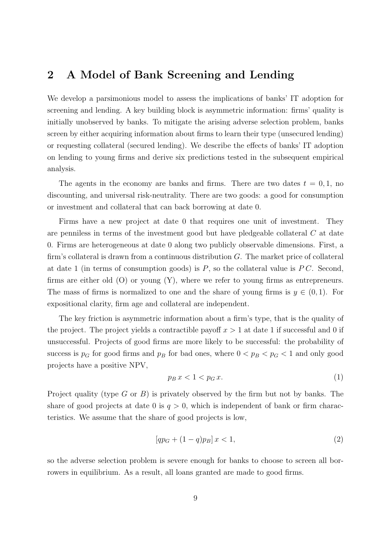# <span id="page-9-0"></span>2 A Model of Bank Screening and Lending

We develop a parsimonious model to assess the implications of banks' IT adoption for screening and lending. A key building block is asymmetric information: firms' quality is initially unobserved by banks. To mitigate the arising adverse selection problem, banks screen by either acquiring information about firms to learn their type (unsecured lending) or requesting collateral (secured lending). We describe the effects of banks' IT adoption on lending to young firms and derive six predictions tested in the subsequent empirical analysis.

The agents in the economy are banks and firms. There are two dates  $t = 0, 1$ , no discounting, and universal risk-neutrality. There are two goods: a good for consumption or investment and collateral that can back borrowing at date 0.

Firms have a new project at date 0 that requires one unit of investment. They are penniless in terms of the investment good but have pledgeable collateral C at date 0. Firms are heterogeneous at date 0 along two publicly observable dimensions. First, a firm's collateral is drawn from a continuous distribution  $G$ . The market price of collateral at date 1 (in terms of consumption goods) is  $P$ , so the collateral value is  $PC$ . Second, firms are either old (O) or young (Y), where we refer to young firms as entrepreneurs. The mass of firms is normalized to one and the share of young firms is  $y \in (0,1)$ . For expositional clarity, firm age and collateral are independent.

The key friction is asymmetric information about a firm's type, that is the quality of the project. The project yields a contractible payoff  $x > 1$  at date 1 if successful and 0 if unsuccessful. Projects of good firms are more likely to be successful: the probability of success is  $p<sub>G</sub>$  for good firms and  $p<sub>B</sub>$  for bad ones, where  $0 < p<sub>B</sub> < p<sub>G</sub> < 1$  and only good projects have a positive NPV,

$$
p_B x < 1 < p_G x. \tag{1}
$$

Project quality (type G or B) is privately observed by the firm but not by banks. The share of good projects at date 0 is  $q > 0$ , which is independent of bank or firm characteristics. We assume that the share of good projects is low,

$$
[qp_G + (1-q)p_B] x < 1,
$$
\n(2)

so the adverse selection problem is severe enough for banks to choose to screen all borrowers in equilibrium. As a result, all loans granted are made to good firms.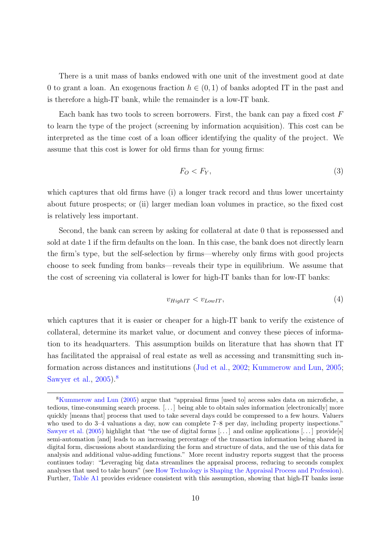There is a unit mass of banks endowed with one unit of the investment good at date 0 to grant a loan. An exogenous fraction  $h \in (0,1)$  of banks adopted IT in the past and is therefore a high-IT bank, while the remainder is a low-IT bank.

Each bank has two tools to screen borrowers. First, the bank can pay a fixed cost  $F$ to learn the type of the project (screening by information acquisition). This cost can be interpreted as the time cost of a loan officer identifying the quality of the project. We assume that this cost is lower for old firms than for young firms:

$$
F_O < F_Y,\tag{3}
$$

which captures that old firms have (i) a longer track record and thus lower uncertainty about future prospects; or (ii) larger median loan volumes in practice, so the fixed cost is relatively less important.

Second, the bank can screen by asking for collateral at date 0 that is repossessed and sold at date 1 if the firm defaults on the loan. In this case, the bank does not directly learn the firm's type, but the self-selection by firms—whereby only firms with good projects choose to seek funding from banks—reveals their type in equilibrium. We assume that the cost of screening via collateral is lower for high-IT banks than for low-IT banks:

$$
v_{HighIT} < v_{LowIT},\tag{4}
$$

which captures that it is easier or cheaper for a high-IT bank to verify the existence of collateral, determine its market value, or document and convey these pieces of information to its headquarters. This assumption builds on literature that has shown that IT has facilitated the appraisal of real estate as well as accessing and transmitting such information across distances and institutions [\(Jud et al.,](#page-40-5) [2002;](#page-40-5) [Kummerow and Lun,](#page-40-3) [2005;](#page-40-3) [Sawyer et al.,](#page-42-2) [2005\)](#page-42-2).[8](#page-10-0)

<span id="page-10-0"></span><sup>8</sup>[Kummerow and Lun](#page-40-3) [\(2005\)](#page-40-3) argue that "appraisal firms [used to] access sales data on microfiche, a tedious, time-consuming search process. [. . . ] being able to obtain sales information [electronically] more quickly [means that] process that used to take several days could be compressed to a few hours. Valuers who used to do  $3-4$  valuations a day, now can complete  $7-8$  per day, including property inspections." [Sawyer et al.](#page-42-2)  $(2005)$  highlight that "the use of digital forms [...] and online applications [...] provide[s] semi-automation [and] leads to an increasing percentage of the transaction information being shared in digital form, discussions about standardizing the form and structure of data, and the use of this data for analysis and additional value-adding functions." More recent industry reports suggest that the process continues today: "Leveraging big data streamlines the appraisal process, reducing to seconds complex analyses that used to take hours" (see [How Technology is Shaping the Appraisal Process and Profession\)](https://bbgres.com/how-technology-is-shaping-the-appraisal-process-and-profession/). Further, [Table A1](#page-54-0) provides evidence consistent with this assumption, showing that high-IT banks issue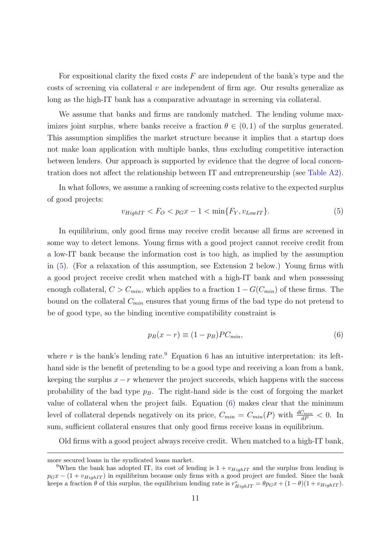For expositional clarity the fixed costs  $F$  are independent of the bank's type and the costs of screening via collateral  $v$  are independent of firm age. Our results generalize as long as the high-IT bank has a comparative advantage in screening via collateral.

We assume that banks and firms are randomly matched. The lending volume maximizes joint surplus, where banks receive a fraction  $\theta \in (0,1)$  of the surplus generated. This assumption simplifies the market structure because it implies that a startup does not make loan application with multiple banks, thus excluding competitive interaction between lenders. Our approach is supported by evidence that the degree of local concentration does not affect the relationship between IT and entrepreneurship (see [Table A2\)](#page-55-0).

In what follows, we assume a ranking of screening costs relative to the expected surplus of good projects:

<span id="page-11-0"></span>
$$
v_{HighIT} < F_O < p_G x - 1 < \min\{F_Y, v_{LowIT}\}. \tag{5}
$$

In equilibrium, only good firms may receive credit because all firms are screened in some way to detect lemons. Young firms with a good project cannot receive credit from a low-IT bank because the information cost is too high, as implied by the assumption in [\(5\)](#page-11-0). (For a relaxation of this assumption, see Extension 2 below.) Young firms with a good project receive credit when matched with a high-IT bank and when possessing enough collateral,  $C > C_{min}$ , which applies to a fraction  $1 - G(C_{min})$  of these firms. The bound on the collateral  $C_{min}$  ensures that young firms of the bad type do not pretend to be of good type, so the binding incentive compatibility constraint is

<span id="page-11-2"></span>
$$
p_B(x - r) \equiv (1 - p_B)PC_{min},\tag{6}
$$

where r is the bank's lending rate.<sup>[9](#page-11-1)</sup> Equation [6](#page-11-2) has an intuitive interpretation: its lefthand side is the benefit of pretending to be a good type and receiving a loan from a bank, keeping the surplus  $x-r$  whenever the project succeeds, which happens with the success probability of the bad type  $p_B$ . The right-hand side is the cost of forgoing the market value of collateral when the project fails. Equation [\(6\)](#page-11-2) makes clear that the minimum level of collateral depends negatively on its price,  $C_{min} = C_{min}(P)$  with  $\frac{dC_{min}}{dP} < 0$ . In sum, sufficient collateral ensures that only good firms receive loans in equilibrium.

Old firms with a good project always receive credit. When matched to a high-IT bank,

more secured loans in the syndicated loans market.

<span id="page-11-1"></span><sup>&</sup>lt;sup>9</sup>When the bank has adopted IT, its cost of lending is  $1 + v_{HighIT}$  and the surplus from lending is  $p_Gx - (1 + v_{HighIT})$  in equilibrium because only firms with a good project are funded. Since the bank keeps a fraction  $\theta$  of this surplus, the equilibrium lending rate is  $r^*_{HighIT} = \theta p_G x + (1 - \theta)(1 + v_{HighIT})$ .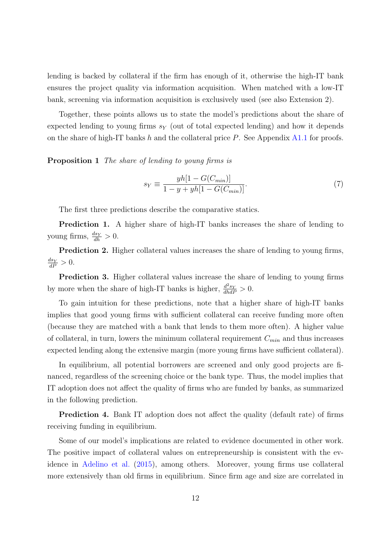lending is backed by collateral if the firm has enough of it, otherwise the high-IT bank ensures the project quality via information acquisition. When matched with a low-IT bank, screening via information acquisition is exclusively used (see also Extension 2).

Together, these points allows us to state the model's predictions about the share of expected lending to young firms  $s_Y$  (out of total expected lending) and how it depends on the share of high-IT banks  $h$  and the collateral price  $P$ . See Appendix [A1.1](#page-52-0) for proofs.

<span id="page-12-1"></span>Proposition 1 The share of lending to young firms is

<span id="page-12-0"></span>
$$
s_Y \equiv \frac{yh[1 - G(C_{min})]}{1 - y + yh[1 - G(C_{min})]}.
$$
\n(7)

The first three predictions describe the comparative statics.

**Prediction 1.** A higher share of high-IT banks increases the share of lending to young firms,  $\frac{ds_Y}{dh} > 0$ .

Prediction 2. Higher collateral values increases the share of lending to young firms,  $\frac{ds_Y}{dP} > 0.$ 

Prediction 3. Higher collateral values increase the share of lending to young firms by more when the share of high-IT banks is higher,  $\frac{d^2s_Y}{dhdP} > 0$ .

To gain intuition for these predictions, note that a higher share of high-IT banks implies that good young firms with sufficient collateral can receive funding more often (because they are matched with a bank that lends to them more often). A higher value of collateral, in turn, lowers the minimum collateral requirement  $C_{min}$  and thus increases expected lending along the extensive margin (more young firms have sufficient collateral).

In equilibrium, all potential borrowers are screened and only good projects are financed, regardless of the screening choice or the bank type. Thus, the model implies that IT adoption does not affect the quality of firms who are funded by banks, as summarized in the following prediction.

Prediction 4. Bank IT adoption does not affect the quality (default rate) of firms receiving funding in equilibrium.

Some of our model's implications are related to evidence documented in other work. The positive impact of collateral values on entrepreneurship is consistent with the evidence in [Adelino et al.](#page-36-5) [\(2015\)](#page-36-5), among others. Moreover, young firms use collateral more extensively than old firms in equilibrium. Since firm age and size are correlated in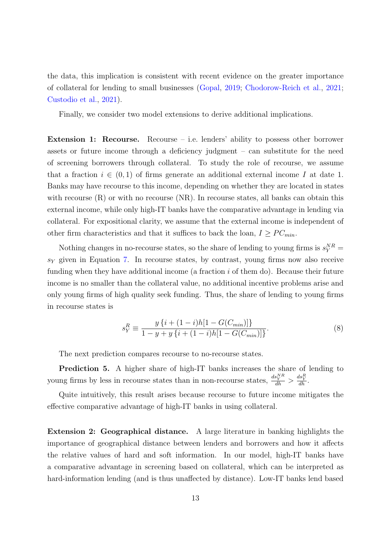the data, this implication is consistent with recent evidence on the greater importance of collateral for lending to small businesses [\(Gopal,](#page-38-9) [2019;](#page-38-9) [Chodorow-Reich et al.,](#page-37-7) [2021;](#page-37-7) [Custodio et al.,](#page-37-8) [2021\)](#page-37-8).

Finally, we consider two model extensions to derive additional implications.

Extension 1: Recourse. Recourse – i.e. lenders' ability to possess other borrower assets or future income through a deficiency judgment – can substitute for the need of screening borrowers through collateral. To study the role of recourse, we assume that a fraction  $i \in (0,1)$  of firms generate an additional external income I at date 1. Banks may have recourse to this income, depending on whether they are located in states with recourse  $(R)$  or with no recourse  $(NR)$ . In recourse states, all banks can obtain this external income, while only high-IT banks have the comparative advantage in lending via collateral. For expositional clarity, we assume that the external income is independent of other firm characteristics and that it suffices to back the loan,  $I \geq PC_{min}$ .

Nothing changes in no-recourse states, so the share of lending to young firms is  $s_Y^{NR}$  =  $s<sub>Y</sub>$  given in Equation [7.](#page-12-0) In recourse states, by contrast, young firms now also receive funding when they have additional income (a fraction  $i$  of them do). Because their future income is no smaller than the collateral value, no additional incentive problems arise and only young firms of high quality seek funding. Thus, the share of lending to young firms in recourse states is

$$
s_Y^R \equiv \frac{y\left\{i + (1-i)h[1 - G(C_{min})]\right\}}{1 - y + y\left\{i + (1-i)h[1 - G(C_{min})]\right\}}.\tag{8}
$$

The next prediction compares recourse to no-recourse states.

Prediction 5. A higher share of high-IT banks increases the share of lending to young firms by less in recourse states than in non-recourse states,  $\frac{ds_Y^{NR}}{dh} > \frac{ds_Y^{RR}}{dh}$ .

Quite intuitively, this result arises because recourse to future income mitigates the effective comparative advantage of high-IT banks in using collateral.

Extension 2: Geographical distance. A large literature in banking highlights the importance of geographical distance between lenders and borrowers and how it affects the relative values of hard and soft information. In our model, high-IT banks have a comparative advantage in screening based on collateral, which can be interpreted as hard-information lending (and is thus unaffected by distance). Low-IT banks lend based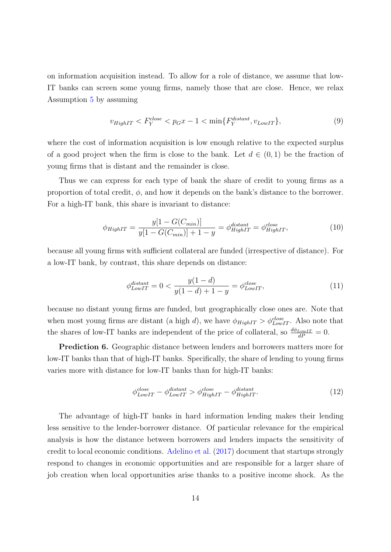on information acquisition instead. To allow for a role of distance, we assume that low-IT banks can screen some young firms, namely those that are close. Hence, we relax Assumption [5](#page-11-0) by assuming

$$
v_{HighIT} < F_Y^{close} < p_G x - 1 < \min\{F_Y^{distant}, v_{LowIT}\},\tag{9}
$$

where the cost of information acquisition is low enough relative to the expected surplus of a good project when the firm is close to the bank. Let  $d \in (0,1)$  be the fraction of young firms that is distant and the remainder is close.

Thus we can express for each type of bank the share of credit to young firms as a proportion of total credit,  $\phi$ , and how it depends on the bank's distance to the borrower. For a high-IT bank, this share is invariant to distance:

$$
\phi_{HighIT} = \frac{y[1 - G(C_{min})]}{y[1 - G(C_{min})] + 1 - y} = \phi_{HighIT}^{distant} = \phi_{HighIT}^{close},
$$
\n(10)

because all young firms with sufficient collateral are funded (irrespective of distance). For a low-IT bank, by contrast, this share depends on distance:

$$
\phi_{LowIT}^{distant} = 0 < \frac{y(1-d)}{y(1-d) + 1 - y} = \phi_{LowIT}^{close},\tag{11}
$$

because no distant young firms are funded, but geographically close ones are. Note that when most young firms are distant (a high d), we have  $\phi_{HighIT} > \phi_{LowIT}^{close}$ . Also note that the shares of low-IT banks are independent of the price of collateral, so  $\frac{d\phi_{LowIT}}{dP} = 0$ .

Prediction 6. Geographic distance between lenders and borrowers matters more for low-IT banks than that of high-IT banks. Specifically, the share of lending to young firms varies more with distance for low-IT banks than for high-IT banks:

$$
\phi_{LowIT}^{close} - \phi_{LowIT}^{distant} > \phi_{HighIT}^{close} - \phi_{HighIT}^{distant}.
$$
\n(12)

The advantage of high-IT banks in hard information lending makes their lending less sensitive to the lender-borrower distance. Of particular relevance for the empirical analysis is how the distance between borrowers and lenders impacts the sensitivity of credit to local economic conditions. [Adelino et al.](#page-36-3) [\(2017\)](#page-36-3) document that startups strongly respond to changes in economic opportunities and are responsible for a larger share of job creation when local opportunities arise thanks to a positive income shock. As the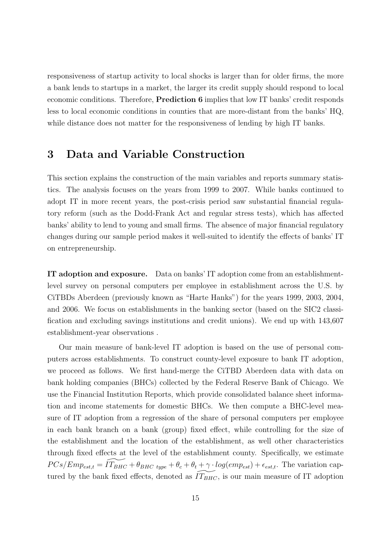responsiveness of startup activity to local shocks is larger than for older firms, the more a bank lends to startups in a market, the larger its credit supply should respond to local economic conditions. Therefore, Prediction 6 implies that low IT banks' credit responds less to local economic conditions in counties that are more-distant from the banks' HQ, while distance does not matter for the responsiveness of lending by high IT banks.

# <span id="page-15-0"></span>3 Data and Variable Construction

This section explains the construction of the main variables and reports summary statistics. The analysis focuses on the years from 1999 to 2007. While banks continued to adopt IT in more recent years, the post-crisis period saw substantial financial regulatory reform (such as the Dodd-Frank Act and regular stress tests), which has affected banks' ability to lend to young and small firms. The absence of major financial regulatory changes during our sample period makes it well-suited to identify the effects of banks' IT on entrepreneurship.

IT adoption and exposure. Data on banks' IT adoption come from an establishmentlevel survey on personal computers per employee in establishment across the U.S. by CiTBDs Aberdeen (previously known as "Harte Hanks") for the years 1999, 2003, 2004, and 2006. We focus on establishments in the banking sector (based on the SIC2 classification and excluding savings institutions and credit unions). We end up with 143,607 establishment-year observations .

Our main measure of bank-level IT adoption is based on the use of personal computers across establishments. To construct county-level exposure to bank IT adoption, we proceed as follows. We first hand-merge the CiTBD Aberdeen data with data on bank holding companies (BHCs) collected by the Federal Reserve Bank of Chicago. We use the Financial Institution Reports, which provide consolidated balance sheet information and income statements for domestic BHCs. We then compute a BHC-level measure of IT adoption from a regression of the share of personal computers per employee in each bank branch on a bank (group) fixed effect, while controlling for the size of the establishment and the location of the establishment, as well other characteristics through fixed effects at the level of the establishment county. Specifically, we estimate  $PCs/Emp_{est,t} = IT_{BHC} + \theta_{BHC}$  type  $+ \theta_c + \theta_t + \gamma \cdot log(em_{est}) + \epsilon_{est,t}$ . The variation captured by the bank fixed effects, denoted as  $IT_{BHC}$ , is our main measure of IT adoption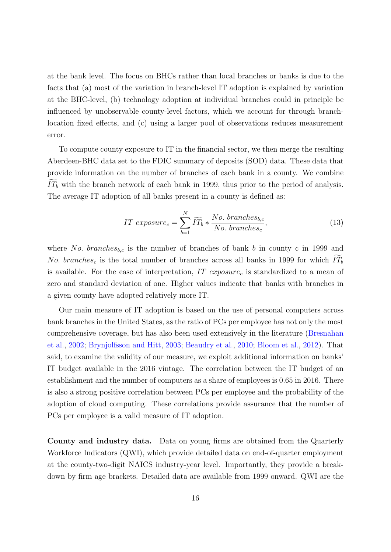at the bank level. The focus on BHCs rather than local branches or banks is due to the facts that (a) most of the variation in branch-level IT adoption is explained by variation at the BHC-level, (b) technology adoption at individual branches could in principle be influenced by unobservable county-level factors, which we account for through branchlocation fixed effects, and (c) using a larger pool of observations reduces measurement error.

To compute county exposure to IT in the financial sector, we then merge the resulting Aberdeen-BHC data set to the FDIC summary of deposits (SOD) data. These data that provide information on the number of branches of each bank in a county. We combine  $\widetilde{IT}_b$  with the branch network of each bank in 1999, thus prior to the period of analysis. The average IT adoption of all banks present in a county is defined as:

$$
IT\ exposure_c = \sum_{b=1}^{N} \widetilde{IT}_b * \frac{No.\ branches_{b,c}}{No.\ branches_c},\tag{13}
$$

where No. branches<sub>b,c</sub> is the number of branches of bank b in county c in 1999 and No. branches<sub>c</sub> is the total number of branches across all banks in 1999 for which  $IT_b$ is available. For the ease of interpretation,  $IT$   $exposure<sub>c</sub>$  is standardized to a mean of zero and standard deviation of one. Higher values indicate that banks with branches in a given county have adopted relatively more IT.

Our main measure of IT adoption is based on the use of personal computers across bank branches in the United States, as the ratio of PCs per employee has not only the most comprehensive coverage, but has also been used extensively in the literature [\(Bresnahan](#page-37-0) [et al.,](#page-37-0) [2002;](#page-37-0) [Brynjolfsson and Hitt,](#page-37-1) [2003;](#page-37-1) [Beaudry et al.,](#page-36-1) [2010;](#page-36-1) [Bloom et al.,](#page-37-2) [2012\)](#page-37-2). That said, to examine the validity of our measure, we exploit additional information on banks' IT budget available in the 2016 vintage. The correlation between the IT budget of an establishment and the number of computers as a share of employees is 0.65 in 2016. There is also a strong positive correlation between PCs per employee and the probability of the adoption of cloud computing. These correlations provide assurance that the number of PCs per employee is a valid measure of IT adoption.

County and industry data. Data on young firms are obtained from the Quarterly Workforce Indicators (QWI), which provide detailed data on end-of-quarter employment at the county-two-digit NAICS industry-year level. Importantly, they provide a breakdown by firm age brackets. Detailed data are available from 1999 onward. QWI are the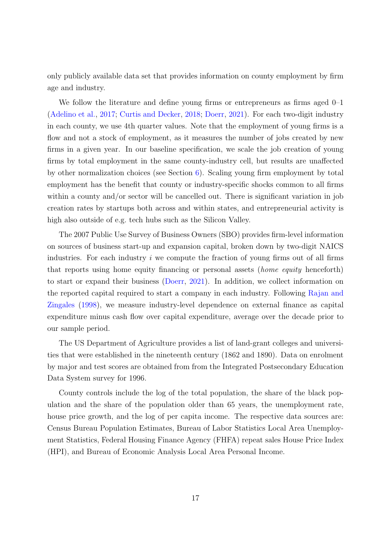only publicly available data set that provides information on county employment by firm age and industry.

We follow the literature and define young firms or entrepreneurs as firms aged 0–1 [\(Adelino et al.,](#page-36-3) [2017;](#page-36-3) [Curtis and Decker,](#page-37-9) [2018;](#page-37-9) [Doerr,](#page-38-0) [2021\)](#page-38-0). For each two-digit industry in each county, we use 4th quarter values. Note that the employment of young firms is a flow and not a stock of employment, as it measures the number of jobs created by new firms in a given year. In our baseline specification, we scale the job creation of young firms by total employment in the same county-industry cell, but results are unaffected by other normalization choices (see Section [6\)](#page-31-0). Scaling young firm employment by total employment has the benefit that county or industry-specific shocks common to all firms within a county and/or sector will be cancelled out. There is significant variation in job creation rates by startups both across and within states, and entrepreneurial activity is high also outside of e.g. tech hubs such as the Silicon Valley.

The 2007 Public Use Survey of Business Owners (SBO) provides firm-level information on sources of business start-up and expansion capital, broken down by two-digit NAICS industries. For each industry  $i$  we compute the fraction of young firms out of all firms that reports using home equity financing or personal assets (home equity henceforth) to start or expand their business [\(Doerr,](#page-38-0) [2021\)](#page-38-0). In addition, we collect information on the reported capital required to start a company in each industry. Following [Rajan and](#page-41-2) [Zingales](#page-41-2) [\(1998\)](#page-41-2), we measure industry-level dependence on external finance as capital expenditure minus cash flow over capital expenditure, average over the decade prior to our sample period.

The US Department of Agriculture provides a list of land-grant colleges and universities that were established in the nineteenth century (1862 and 1890). Data on enrolment by major and test scores are obtained from from the Integrated Postsecondary Education Data System survey for 1996.

County controls include the log of the total population, the share of the black population and the share of the population older than 65 years, the unemployment rate, house price growth, and the log of per capita income. The respective data sources are: Census Bureau Population Estimates, Bureau of Labor Statistics Local Area Unemployment Statistics, Federal Housing Finance Agency (FHFA) repeat sales House Price Index (HPI), and Bureau of Economic Analysis Local Area Personal Income.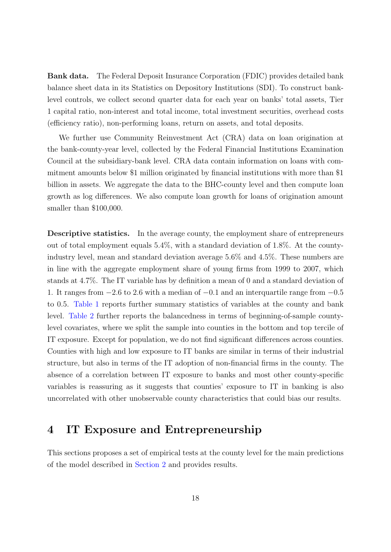Bank data. The Federal Deposit Insurance Corporation (FDIC) provides detailed bank balance sheet data in its Statistics on Depository Institutions (SDI). To construct banklevel controls, we collect second quarter data for each year on banks' total assets, Tier 1 capital ratio, non-interest and total income, total investment securities, overhead costs (efficiency ratio), non-performing loans, return on assets, and total deposits.

We further use Community Reinvestment Act (CRA) data on loan origination at the bank-county-year level, collected by the Federal Financial Institutions Examination Council at the subsidiary-bank level. CRA data contain information on loans with commitment amounts below \$1 million originated by financial institutions with more than \$1 billion in assets. We aggregate the data to the BHC-county level and then compute loan growth as log differences. We also compute loan growth for loans of origination amount smaller than \$100,000.

Descriptive statistics. In the average county, the employment share of entrepreneurs out of total employment equals 5.4%, with a standard deviation of 1.8%. At the countyindustry level, mean and standard deviation average 5.6% and 4.5%. These numbers are in line with the aggregate employment share of young firms from 1999 to 2007, which stands at 4.7%. The IT variable has by definition a mean of 0 and a standard deviation of 1. It ranges from −2.6 to 2.6 with a median of −0.1 and an interquartile range from −0.5 to 0.5. [Table 1](#page-46-0) reports further summary statistics of variables at the county and bank level. [Table 2](#page-47-0) further reports the balancedness in terms of beginning-of-sample countylevel covariates, where we split the sample into counties in the bottom and top tercile of IT exposure. Except for population, we do not find significant differences across counties. Counties with high and low exposure to IT banks are similar in terms of their industrial structure, but also in terms of the IT adoption of non-financial firms in the county. The absence of a correlation between IT exposure to banks and most other county-specific variables is reassuring as it suggests that counties' exposure to IT in banking is also uncorrelated with other unobservable county characteristics that could bias our results.

# <span id="page-18-0"></span>4 IT Exposure and Entrepreneurship

This sections proposes a set of empirical tests at the county level for the main predictions of the model described in [Section 2](#page-9-0) and provides results.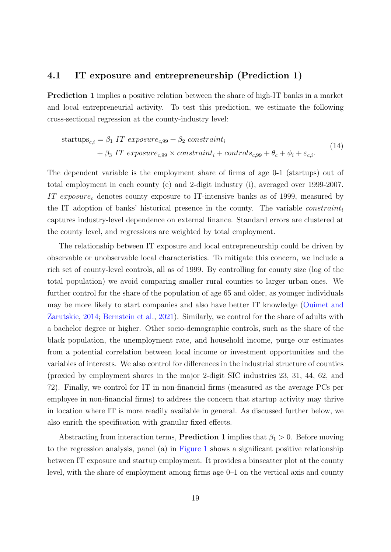#### 4.1 IT exposure and entrepreneurship (Prediction 1)

Prediction 1 implies a positive relation between the share of high-IT banks in a market and local entrepreneurial activity. To test this prediction, we estimate the following cross-sectional regression at the county-industry level:

<span id="page-19-0"></span>
$$
\begin{aligned} \text{startups}_{c,i} &= \beta_1 \text{ IT } exposure_{c,99} + \beta_2 \text{ constraint}_i \\ &+ \beta_3 \text{ IT } exposure_{c,99} \times \text{constraint}_i + \text{controls}_{c,99} + \theta_c + \phi_i + \varepsilon_{c,i}. \end{aligned} \tag{14}
$$

The dependent variable is the employment share of firms of age 0-1 (startups) out of total employment in each county (c) and 2-digit industry (i), averaged over 1999-2007. IT exposure<sub>c</sub> denotes county exposure to IT-intensive banks as of 1999, measured by the IT adoption of banks' historical presence in the county. The variable *constraint*<sub>i</sub> captures industry-level dependence on external finance. Standard errors are clustered at the county level, and regressions are weighted by total employment.

The relationship between IT exposure and local entrepreneurship could be driven by observable or unobservable local characteristics. To mitigate this concern, we include a rich set of county-level controls, all as of 1999. By controlling for county size (log of the total population) we avoid comparing smaller rural counties to larger urban ones. We further control for the share of the population of age 65 and older, as younger individuals may be more likely to start companies and also have better IT knowledge [\(Ouimet and](#page-41-7) [Zarutskie,](#page-41-7) [2014;](#page-41-7) [Bernstein et al.,](#page-37-10) [2021\)](#page-37-10). Similarly, we control for the share of adults with a bachelor degree or higher. Other socio-demographic controls, such as the share of the black population, the unemployment rate, and household income, purge our estimates from a potential correlation between local income or investment opportunities and the variables of interests. We also control for differences in the industrial structure of counties (proxied by employment shares in the major 2-digit SIC industries 23, 31, 44, 62, and 72). Finally, we control for IT in non-financial firms (measured as the average PCs per employee in non-financial firms) to address the concern that startup activity may thrive in location where IT is more readily available in general. As discussed further below, we also enrich the specification with granular fixed effects.

Abstracting from interaction terms, **Prediction 1** implies that  $\beta_1 > 0$ . Before moving to the regression analysis, panel (a) in [Figure 1](#page-43-0) shows a significant positive relationship between IT exposure and startup employment. It provides a binscatter plot at the county level, with the share of employment among firms age 0–1 on the vertical axis and county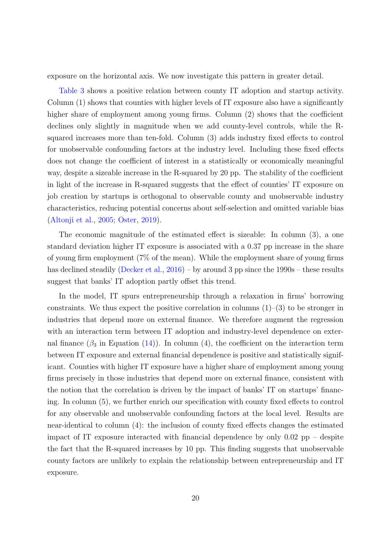exposure on the horizontal axis. We now investigate this pattern in greater detail.

[Table 3](#page-48-0) shows a positive relation between county IT adoption and startup activity. Column (1) shows that counties with higher levels of IT exposure also have a significantly higher share of employment among young firms. Column  $(2)$  shows that the coefficient declines only slightly in magnitude when we add county-level controls, while the Rsquared increases more than ten-fold. Column (3) adds industry fixed effects to control for unobservable confounding factors at the industry level. Including these fixed effects does not change the coefficient of interest in a statistically or economically meaningful way, despite a sizeable increase in the R-squared by 20 pp. The stability of the coefficient in light of the increase in R-squared suggests that the effect of counties' IT exposure on job creation by startups is orthogonal to observable county and unobservable industry characteristics, reducing potential concerns about self-selection and omitted variable bias [\(Altonji et al.,](#page-36-4) [2005;](#page-36-4) [Oster,](#page-41-3) [2019\)](#page-41-3).

The economic magnitude of the estimated effect is sizeable: In column (3), a one standard deviation higher IT exposure is associated with a 0.37 pp increase in the share of young firm employment (7% of the mean). While the employment share of young firms has declined steadily [\(Decker et al.,](#page-38-10) [2016\)](#page-38-10) – by around 3 pp since the 1990s – these results suggest that banks' IT adoption partly offset this trend.

In the model, IT spurs entrepreneurship through a relaxation in firms' borrowing constraints. We thus expect the positive correlation in columns  $(1)$ – $(3)$  to be stronger in industries that depend more on external finance. We therefore augment the regression with an interaction term between IT adoption and industry-level dependence on external finance  $(\beta_3$  in Equation [\(14\)](#page-19-0)). In column (4), the coefficient on the interaction term between IT exposure and external financial dependence is positive and statistically significant. Counties with higher IT exposure have a higher share of employment among young firms precisely in those industries that depend more on external finance, consistent with the notion that the correlation is driven by the impact of banks' IT on startups' financing. In column (5), we further enrich our specification with county fixed effects to control for any observable and unobservable confounding factors at the local level. Results are near-identical to column (4): the inclusion of county fixed effects changes the estimated impact of IT exposure interacted with financial dependence by only 0.02 pp – despite the fact that the R-squared increases by 10 pp. This finding suggests that unobservable county factors are unlikely to explain the relationship between entrepreneurship and IT exposure.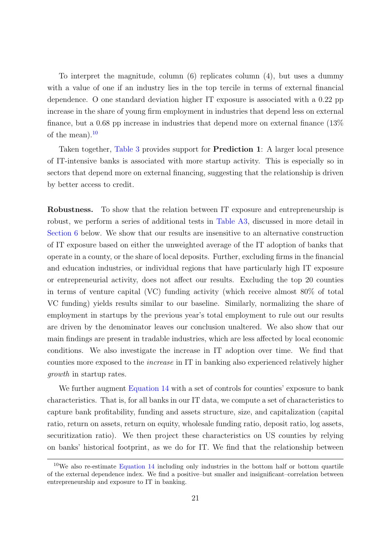To interpret the magnitude, column (6) replicates column (4), but uses a dummy with a value of one if an industry lies in the top tercile in terms of external financial dependence. O one standard deviation higher IT exposure is associated with a 0.22 pp increase in the share of young firm employment in industries that depend less on external finance, but a 0.68 pp increase in industries that depend more on external finance (13% of the mean). $^{10}$  $^{10}$  $^{10}$ 

Taken together, [Table 3](#page-48-0) provides support for Prediction 1: A larger local presence of IT-intensive banks is associated with more startup activity. This is especially so in sectors that depend more on external financing, suggesting that the relationship is driven by better access to credit.

Robustness. To show that the relation between IT exposure and entrepreneurship is robust, we perform a series of additional tests in [Table A3,](#page-56-0) discussed in more detail in [Section 6](#page-31-0) below. We show that our results are insensitive to an alternative construction of IT exposure based on either the unweighted average of the IT adoption of banks that operate in a county, or the share of local deposits. Further, excluding firms in the financial and education industries, or individual regions that have particularly high IT exposure or entrepreneurial activity, does not affect our results. Excluding the top 20 counties in terms of venture capital (VC) funding activity (which receive almost 80% of total VC funding) yields results similar to our baseline. Similarly, normalizing the share of employment in startups by the previous year's total employment to rule out our results are driven by the denominator leaves our conclusion unaltered. We also show that our main findings are present in tradable industries, which are less affected by local economic conditions. We also investigate the increase in IT adoption over time. We find that counties more exposed to the increase in IT in banking also experienced relatively higher growth in startup rates.

We further augment [Equation 14](#page-19-0) with a set of controls for counties' exposure to bank characteristics. That is, for all banks in our IT data, we compute a set of characteristics to capture bank profitability, funding and assets structure, size, and capitalization (capital ratio, return on assets, return on equity, wholesale funding ratio, deposit ratio, log assets, securitization ratio). We then project these characteristics on US counties by relying on banks' historical footprint, as we do for IT. We find that the relationship between

<span id="page-21-0"></span><sup>&</sup>lt;sup>10</sup>We also re-estimate [Equation 14](#page-19-0) including only industries in the bottom half or bottom quartile of the external dependence index. We find a positive–but smaller and insignificant–correlation between entrepreneurship and exposure to IT in banking.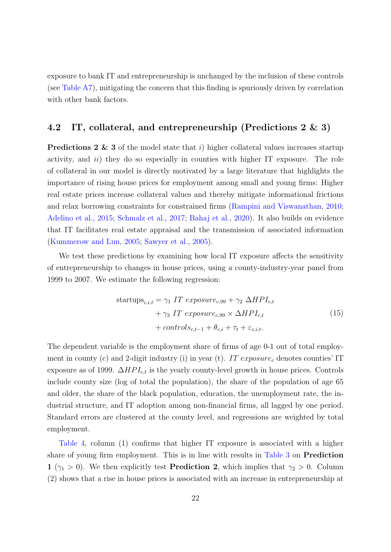exposure to bank IT and entrepreneurship is unchanged by the inclusion of these controls (see [Table A7\)](#page-60-0), mitigating the concern that this finding is spuriously driven by correlation with other bank factors.

### 4.2 IT, collateral, and entrepreneurship (Predictions 2 & 3)

**Predictions 2 & 3** of the model state that i) higher collateral values increases startup activity, and  $ii$ ) they do so especially in counties with higher IT exposure. The role of collateral in our model is directly motivated by a large literature that highlights the importance of rising house prices for employment among small and young firms: Higher real estate prices increase collateral values and thereby mitigate informational frictions and relax borrowing constraints for constrained firms [\(Rampini and Viswanathan,](#page-41-8) [2010;](#page-41-8) [Adelino et al.,](#page-36-5) [2015;](#page-36-5) [Schmalz et al.,](#page-42-4) [2017;](#page-42-4) [Bahaj et al.,](#page-36-6) [2020\)](#page-36-6). It also builds on evidence that IT facilitates real estate appraisal and the transmission of associated information [\(Kummerow and Lun,](#page-40-3) [2005;](#page-40-3) [Sawyer et al.,](#page-42-2) [2005\)](#page-42-2).

We test these predictions by examining how local IT exposure affects the sensitivity of entrepreneurship to changes in house prices, using a county-industry-year panel from 1999 to 2007. We estimate the following regression:

<span id="page-22-0"></span>startups<sub>c,i,t</sub> = 
$$
\gamma_1
$$
 IT exposure<sub>c,99</sub> +  $\gamma_2$   $\Delta HPI_{c,t}$   
+  $\gamma_3$  IT exposure<sub>c,99</sub> ×  $\Delta HPI_{c,t}$   
+  $controls_{c,t-1} + \theta_{c,i} + \tau_t + \varepsilon_{c,i,t}$ . (15)

The dependent variable is the employment share of firms of age 0-1 out of total employment in county (c) and 2-digit industry (i) in year (t). IT  $exposure<sub>c</sub>$  denotes counties' IT exposure as of 1999.  $\Delta HPL_{ct}$  is the yearly county-level growth in house prices. Controls include county size (log of total the population), the share of the population of age 65 and older, the share of the black population, education, the unemployment rate, the industrial structure, and IT adoption among non-financial firms, all lagged by one period. Standard errors are clustered at the county level, and regressions are weighted by total employment.

[Table 4,](#page-49-0) column (1) confirms that higher IT exposure is associated with a higher share of young firm employment. This is in line with results in [Table 3](#page-48-0) on Prediction 1 ( $\gamma_1 > 0$ ). We then explicitly test **Prediction 2**, which implies that  $\gamma_2 > 0$ . Column (2) shows that a rise in house prices is associated with an increase in entrepreneurship at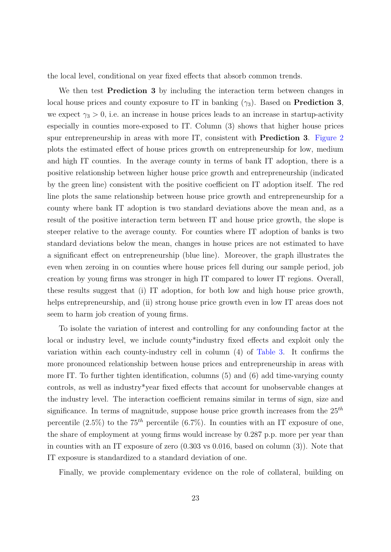the local level, conditional on year fixed effects that absorb common trends.

We then test **Prediction 3** by including the interaction term between changes in local house prices and county exposure to IT in banking  $(\gamma_3)$ . Based on **Prediction 3**, we expect  $\gamma_3 > 0$ , i.e. an increase in house prices leads to an increase in startup-activity especially in counties more-exposed to IT. Column (3) shows that higher house prices spur entrepreneurship in areas with more IT, consistent with Prediction 3. [Figure 2](#page-43-1) plots the estimated effect of house prices growth on entrepreneurship for low, medium and high IT counties. In the average county in terms of bank IT adoption, there is a positive relationship between higher house price growth and entrepreneurship (indicated by the green line) consistent with the positive coefficient on IT adoption itself. The red line plots the same relationship between house price growth and entrepreneurship for a county where bank IT adoption is two standard deviations above the mean and, as a result of the positive interaction term between IT and house price growth, the slope is steeper relative to the average county. For counties where IT adoption of banks is two standard deviations below the mean, changes in house prices are not estimated to have a significant effect on entrepreneurship (blue line). Moreover, the graph illustrates the even when zeroing in on counties where house prices fell during our sample period, job creation by young firms was stronger in high IT compared to lower IT regions. Overall, these results suggest that (i) IT adoption, for both low and high house price growth, helps entrepreneurship, and (ii) strong house price growth even in low IT areas does not seem to harm job creation of young firms.

To isolate the variation of interest and controlling for any confounding factor at the local or industry level, we include county\*industry fixed effects and exploit only the variation within each county-industry cell in column (4) of [Table 3.](#page-48-0) It confirms the more pronounced relationship between house prices and entrepreneurship in areas with more IT. To further tighten identification, columns (5) and (6) add time-varying county controls, as well as industry\*year fixed effects that account for unobservable changes at the industry level. The interaction coefficient remains similar in terms of sign, size and significance. In terms of magnitude, suppose house price growth increases from the  $25<sup>th</sup>$ percentile  $(2.5\%)$  to the 75<sup>th</sup> percentile  $(6.7\%)$ . In counties with an IT exposure of one, the share of employment at young firms would increase by 0.287 p.p. more per year than in counties with an IT exposure of zero (0.303 vs 0.016, based on column (3)). Note that IT exposure is standardized to a standard deviation of one.

Finally, we provide complementary evidence on the role of collateral, building on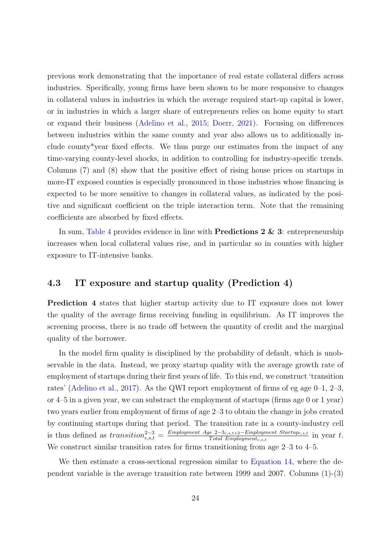previous work demonstrating that the importance of real estate collateral differs across industries. Specifically, young firms have been shown to be more responsive to changes in collateral values in industries in which the average required start-up capital is lower, or in industries in which a larger share of entrepreneurs relies on home equity to start or expand their business [\(Adelino et al.,](#page-36-5) [2015;](#page-36-5) [Doerr,](#page-38-0) [2021\)](#page-38-0). Focusing on differences between industries within the same county and year also allows us to additionally include county\*year fixed effects. We thus purge our estimates from the impact of any time-varying county-level shocks, in addition to controlling for industry-specific trends. Columns (7) and (8) show that the positive effect of rising house prices on startups in more-IT exposed counties is especially pronounced in those industries whose financing is expected to be more sensitive to changes in collateral values, as indicated by the positive and significant coefficient on the triple interaction term. Note that the remaining coefficients are absorbed by fixed effects.

In sum, [Table 4](#page-49-0) provides evidence in line with **Predictions 2 & 3**: entrepreneurship increases when local collateral values rise, and in particular so in counties with higher exposure to IT-intensive banks.

### 4.3 IT exposure and startup quality (Prediction 4)

Prediction 4 states that higher startup activity due to IT exposure does not lower the quality of the average firms receiving funding in equilibrium. As IT improves the screening process, there is no trade off between the quantity of credit and the marginal quality of the borrower.

In the model firm quality is disciplined by the probability of default, which is unobservable in the data. Instead, we proxy startup quality with the average growth rate of employment of startups during their first years of life. To this end, we construct 'transition rates' [\(Adelino et al.,](#page-36-3) [2017\)](#page-36-3). As the QWI report employment of firms of eg age  $0-1$ ,  $2-3$ , or 4–5 in a given year, we can substract the employment of startups (firms age 0 or 1 year) two years earlier from employment of firms of age 2–3 to obtain the change in jobs created by continuing startups during that period. The transition rate in a county-industry cell is thus defined as  $transition_{c,s,t}^{2-3} = \frac{Emplogment \; Age \; 2-3_{c,s,t+2}-Emplogment \; Startup_{c,s,t}}{Total \; Emplogment_{c,s,t}}$  $\frac{1}{2}e^{-2\sum_{c,s,t+2}Emplogiment\_startup_{c,s,t}}$  in year t. We construct similar transition rates for firms transitioning from age 2–3 to 4–5.

We then estimate a cross-sectional regression similar to [Equation 14,](#page-19-0) where the dependent variable is the average transition rate between 1999 and 2007. Columns (1)-(3)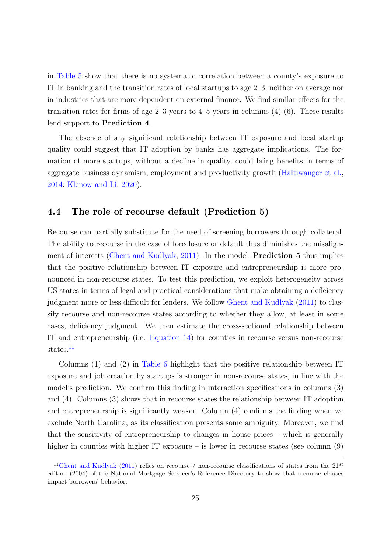in [Table 5](#page-49-1) show that there is no systematic correlation between a county's exposure to IT in banking and the transition rates of local startups to age 2–3, neither on average nor in industries that are more dependent on external finance. We find similar effects for the transition rates for firms of age  $2-3$  years to  $4-5$  years in columns  $(4)-(6)$ . These results lend support to Prediction 4.

The absence of any significant relationship between IT exposure and local startup quality could suggest that IT adoption by banks has aggregate implications. The formation of more startups, without a decline in quality, could bring benefits in terms of aggregate business dynamism, employment and productivity growth [\(Haltiwanger et al.,](#page-39-11) [2014;](#page-39-11) [Klenow and Li,](#page-40-1) [2020\)](#page-40-1).

### 4.4 The role of recourse default (Prediction 5)

Recourse can partially substitute for the need of screening borrowers through collateral. The ability to recourse in the case of foreclosure or default thus diminishes the misalignment of interests [\(Ghent and Kudlyak,](#page-38-1) [2011\)](#page-38-1). In the model, Prediction 5 thus implies that the positive relationship between IT exposure and entrepreneurship is more pronounced in non-recourse states. To test this prediction, we exploit heterogeneity across US states in terms of legal and practical considerations that make obtaining a deficiency judgment more or less difficult for lenders. We follow [Ghent and Kudlyak](#page-38-1) [\(2011\)](#page-38-1) to classify recourse and non-recourse states according to whether they allow, at least in some cases, deficiency judgment. We then estimate the cross-sectional relationship between IT and entrepreneurship (i.e. [Equation 14\)](#page-19-0) for counties in recourse versus non-recourse states.<sup>[11](#page-25-0)</sup>

Columns (1) and (2) in [Table 6](#page-50-0) highlight that the positive relationship between IT exposure and job creation by startups is stronger in non-recourse states, in line with the model's prediction. We confirm this finding in interaction specifications in columns (3) and (4). Columns (3) shows that in recourse states the relationship between IT adoption and entrepreneurship is significantly weaker. Column (4) confirms the finding when we exclude North Carolina, as its classification presents some ambiguity. Moreover, we find that the sensitivity of entrepreneurship to changes in house prices – which is generally higher in counties with higher IT exposure – is lower in recourse states (see column  $(9)$ )

<span id="page-25-0"></span><sup>&</sup>lt;sup>11</sup>[Ghent and Kudlyak](#page-38-1) [\(2011\)](#page-38-1) relies on recourse / non-recourse classifications of states from the 21<sup>st</sup> edition (2004) of the National Mortgage Servicer's Reference Directory to show that recourse clauses impact borrowers' behavior.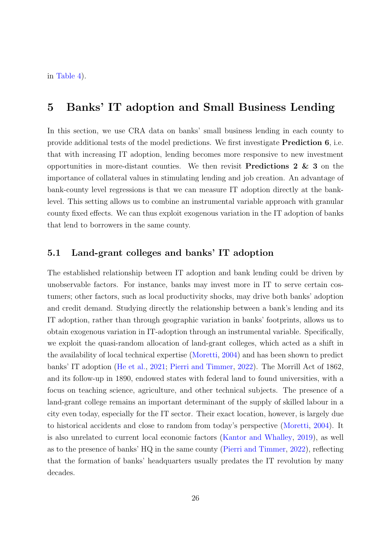in [Table 4\)](#page-49-0).

# <span id="page-26-0"></span>5 Banks' IT adoption and Small Business Lending

In this section, we use CRA data on banks' small business lending in each county to provide additional tests of the model predictions. We first investigate Prediction 6, i.e. that with increasing IT adoption, lending becomes more responsive to new investment opportunities in more-distant counties. We then revisit **Predictions 2 & 3** on the importance of collateral values in stimulating lending and job creation. An advantage of bank-county level regressions is that we can measure IT adoption directly at the banklevel. This setting allows us to combine an instrumental variable approach with granular county fixed effects. We can thus exploit exogenous variation in the IT adoption of banks that lend to borrowers in the same county.

#### 5.1 Land-grant colleges and banks' IT adoption

The established relationship between IT adoption and bank lending could be driven by unobservable factors. For instance, banks may invest more in IT to serve certain costumers; other factors, such as local productivity shocks, may drive both banks' adoption and credit demand. Studying directly the relationship between a bank's lending and its IT adoption, rather than through geographic variation in banks' footprints, allows us to obtain exogenous variation in IT-adoption through an instrumental variable. Specifically, we exploit the quasi-random allocation of land-grant colleges, which acted as a shift in the availability of local technical expertise [\(Moretti,](#page-41-4) [2004\)](#page-41-4) and has been shown to predict banks' IT adoption [\(He et al.,](#page-39-3) [2021;](#page-39-3) [Pierri and Timmer,](#page-41-1) [2022\)](#page-41-1). The Morrill Act of 1862, and its follow-up in 1890, endowed states with federal land to found universities, with a focus on teaching science, agriculture, and other technical subjects. The presence of a land-grant college remains an important determinant of the supply of skilled labour in a city even today, especially for the IT sector. Their exact location, however, is largely due to historical accidents and close to random from today's perspective [\(Moretti,](#page-41-4) [2004\)](#page-41-4). It is also unrelated to current local economic factors [\(Kantor and Whalley,](#page-40-10) [2019\)](#page-40-10), as well as to the presence of banks' HQ in the same county [\(Pierri and Timmer,](#page-41-1) [2022\)](#page-41-1), reflecting that the formation of banks' headquarters usually predates the IT revolution by many decades.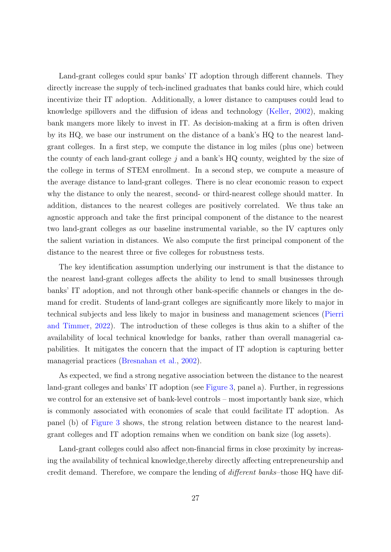Land-grant colleges could spur banks' IT adoption through different channels. They directly increase the supply of tech-inclined graduates that banks could hire, which could incentivize their IT adoption. Additionally, a lower distance to campuses could lead to knowledge spillovers and the diffusion of ideas and technology [\(Keller,](#page-40-11) [2002\)](#page-40-11), making bank mangers more likely to invest in IT. As decision-making at a firm is often driven by its HQ, we base our instrument on the distance of a bank's HQ to the nearest landgrant colleges. In a first step, we compute the distance in log miles (plus one) between the county of each land-grant college  $j$  and a bank's  $HQ$  county, weighted by the size of the college in terms of STEM enrollment. In a second step, we compute a measure of the average distance to land-grant colleges. There is no clear economic reason to expect why the distance to only the nearest, second- or third-nearest college should matter. In addition, distances to the nearest colleges are positively correlated. We thus take an agnostic approach and take the first principal component of the distance to the nearest two land-grant colleges as our baseline instrumental variable, so the IV captures only the salient variation in distances. We also compute the first principal component of the distance to the nearest three or five colleges for robustness tests.

The key identification assumption underlying our instrument is that the distance to the nearest land-grant colleges affects the ability to lend to small businesses through banks' IT adoption, and not through other bank-specific channels or changes in the demand for credit. Students of land-grant colleges are significantly more likely to major in technical subjects and less likely to major in business and management sciences [\(Pierri](#page-41-1) [and Timmer,](#page-41-1) [2022\)](#page-41-1). The introduction of these colleges is thus akin to a shifter of the availability of local technical knowledge for banks, rather than overall managerial capabilities. It mitigates the concern that the impact of IT adoption is capturing better managerial practices [\(Bresnahan et al.,](#page-37-0) [2002\)](#page-37-0).

As expected, we find a strong negative association between the distance to the nearest land-grant colleges and banks' IT adoption (see [Figure 3,](#page-44-0) panel a). Further, in regressions we control for an extensive set of bank-level controls – most importantly bank size, which is commonly associated with economies of scale that could facilitate IT adoption. As panel (b) of [Figure 3](#page-44-0) shows, the strong relation between distance to the nearest landgrant colleges and IT adoption remains when we condition on bank size (log assets).

Land-grant colleges could also affect non-financial firms in close proximity by increasing the availability of technical knowledge,thereby directly affecting entrepreneurship and credit demand. Therefore, we compare the lending of different banks–those HQ have dif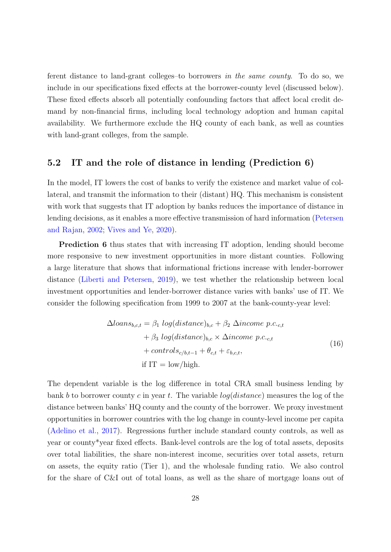ferent distance to land-grant colleges–to borrowers in the same county. To do so, we include in our specifications fixed effects at the borrower-county level (discussed below). These fixed effects absorb all potentially confounding factors that affect local credit demand by non-financial firms, including local technology adoption and human capital availability. We furthermore exclude the HQ county of each bank, as well as counties with land-grant colleges, from the sample.

### 5.2 IT and the role of distance in lending (Prediction 6)

In the model, IT lowers the cost of banks to verify the existence and market value of collateral, and transmit the information to their (distant) HQ. This mechanism is consistent with work that suggests that IT adoption by banks reduces the importance of distance in lending decisions, as it enables a more effective transmission of hard information [\(Petersen](#page-41-0) [and Rajan,](#page-41-0) [2002;](#page-41-0) [Vives and Ye,](#page-42-3) [2020\)](#page-42-3).

Prediction 6 thus states that with increasing IT adoption, lending should become more responsive to new investment opportunities in more distant counties. Following a large literature that shows that informational frictions increase with lender-borrower distance [\(Liberti and Petersen,](#page-40-0) [2019\)](#page-40-0), we test whether the relationship between local investment opportunities and lender-borrower distance varies with banks' use of IT. We consider the following specification from 1999 to 2007 at the bank-county-year level:

<span id="page-28-0"></span>
$$
\Delta loans_{b,c,t} = \beta_1 \log(distance)_{b,c} + \beta_2 \Delta income \ p.c._{c,t} + \beta_3 \log(distance)_{b,c} \times \Delta income \ p.c._{c,t} + controls_{c/b,t-1} + \theta_{c,t} + \varepsilon_{b,c,t},
$$
\n
$$
\text{if IT} = \text{low/high.}
$$
\n(16)

The dependent variable is the log difference in total CRA small business lending by bank b to borrower county c in year t. The variable  $log(distance)$  measures the log of the distance between banks' HQ county and the county of the borrower. We proxy investment opportunities in borrower countries with the log change in county-level income per capita [\(Adelino et al.,](#page-36-3) [2017\)](#page-36-3). Regressions further include standard county controls, as well as year or county\*year fixed effects. Bank-level controls are the log of total assets, deposits over total liabilities, the share non-interest income, securities over total assets, return on assets, the equity ratio (Tier 1), and the wholesale funding ratio. We also control for the share of C&I out of total loans, as well as the share of mortgage loans out of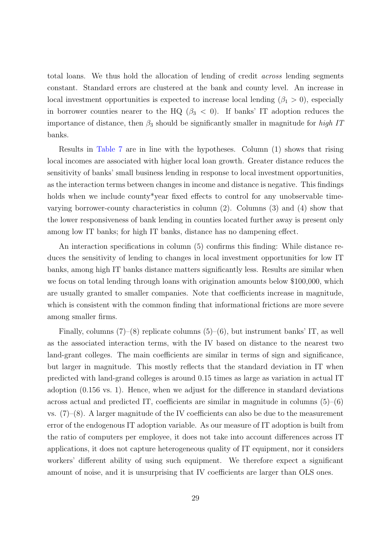total loans. We thus hold the allocation of lending of credit across lending segments constant. Standard errors are clustered at the bank and county level. An increase in local investment opportunities is expected to increase local lending ( $\beta_1 > 0$ ), especially in borrower counties nearer to the HQ ( $\beta_3$  < 0). If banks' IT adoption reduces the importance of distance, then  $\beta_3$  should be significantly smaller in magnitude for high IT banks.

Results in [Table 7](#page-51-0) are in line with the hypotheses. Column (1) shows that rising local incomes are associated with higher local loan growth. Greater distance reduces the sensitivity of banks' small business lending in response to local investment opportunities, as the interaction terms between changes in income and distance is negative. This findings holds when we include county\*year fixed effects to control for any unobservable timevarying borrower-county characteristics in column (2). Columns (3) and (4) show that the lower responsiveness of bank lending in counties located further away is present only among low IT banks; for high IT banks, distance has no dampening effect.

An interaction specifications in column (5) confirms this finding: While distance reduces the sensitivity of lending to changes in local investment opportunities for low IT banks, among high IT banks distance matters significantly less. Results are similar when we focus on total lending through loans with origination amounts below \$100,000, which are usually granted to smaller companies. Note that coefficients increase in magnitude, which is consistent with the common finding that informational frictions are more severe among smaller firms.

Finally, columns  $(7)-(8)$  replicate columns  $(5)-(6)$ , but instrument banks' IT, as well as the associated interaction terms, with the IV based on distance to the nearest two land-grant colleges. The main coefficients are similar in terms of sign and significance, but larger in magnitude. This mostly reflects that the standard deviation in IT when predicted with land-grand colleges is around 0.15 times as large as variation in actual IT adoption (0.156 vs. 1). Hence, when we adjust for the difference in standard deviations across actual and predicted IT, coefficients are similar in magnitude in columns  $(5)-(6)$ vs.  $(7)-(8)$ . A larger magnitude of the IV coefficients can also be due to the measurement error of the endogenous IT adoption variable. As our measure of IT adoption is built from the ratio of computers per employee, it does not take into account differences across IT applications, it does not capture heterogeneous quality of IT equipment, nor it considers workers' different ability of using such equipment. We therefore expect a significant amount of noise, and it is unsurprising that IV coefficients are larger than OLS ones.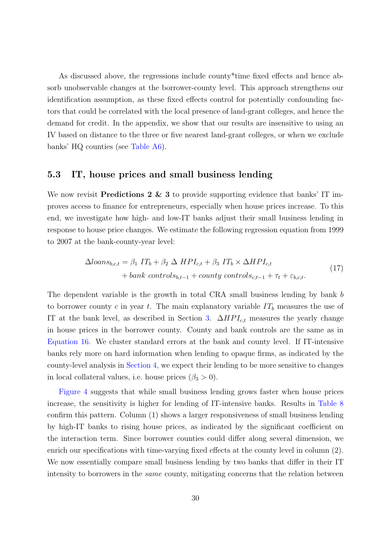As discussed above, the regressions include county\*time fixed effects and hence absorb unobservable changes at the borrower-county level. This approach strengthens our identification assumption, as these fixed effects control for potentially confounding factors that could be correlated with the local presence of land-grant colleges, and hence the demand for credit. In the appendix, we show that our results are insensitive to using an IV based on distance to the three or five nearest land-grant colleges, or when we exclude banks' HQ counties (see [Table A6\)](#page-59-0).

## 5.3 IT, house prices and small business lending

We now revisit **Predictions 2 & 3** to provide supporting evidence that banks' IT improves access to finance for entrepreneurs, especially when house prices increase. To this end, we investigate how high- and low-IT banks adjust their small business lending in response to house price changes. We estimate the following regression equation from 1999 to 2007 at the bank-county-year level:

<span id="page-30-0"></span>
$$
\Delta loans_{b,c,t} = \beta_1 \ IT_b + \beta_2 \ \Delta \ HPI_{c,t} + \beta_3 \ IT_b \times \Delta HPI_{c,t} + bank \ controls_{b,t-1} + county \ controls_{c,t-1} + \tau_t + \varepsilon_{b,c,t}.
$$
\n(17)

The dependent variable is the growth in total CRA small business lending by bank b to borrower county c in year t. The main explanatory variable  $IT_b$  measures the use of IT at the bank level, as described in Section [3.](#page-15-0)  $\Delta HPI_{ct}$  measures the yearly change in house prices in the borrower county. County and bank controls are the same as in [Equation 16.](#page-28-0) We cluster standard errors at the bank and county level. If IT-intensive banks rely more on hard information when lending to opaque firms, as indicated by the county-level analysis in [Section 4,](#page-18-0) we expect their lending to be more sensitive to changes in local collateral values, i.e. house prices  $(\beta_3 > 0)$ .

[Figure 4](#page-45-0) suggests that while small business lending grows faster when house prices increase, the sensitivity is higher for lending of IT-intensive banks. Results in [Table 8](#page-51-1) confirm this pattern. Column (1) shows a larger responsiveness of small business lending by high-IT banks to rising house prices, as indicated by the significant coefficient on the interaction term. Since borrower counties could differ along several dimension, we enrich our specifications with time-varying fixed effects at the county level in column (2). We now essentially compare small business lending by two banks that differ in their IT intensity to borrowers in the *same* county, mitigating concerns that the relation between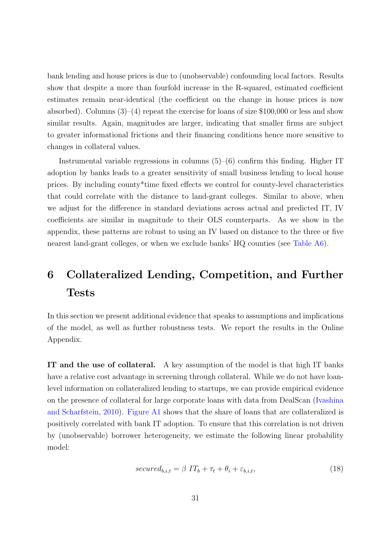bank lending and house prices is due to (unobservable) confounding local factors. Results show that despite a more than fourfold increase in the R-squared, estimated coefficient estimates remain near-identical (the coefficient on the change in house prices is now absorbed). Columns  $(3)-(4)$  repeat the exercise for loans of size \$100,000 or less and show similar results. Again, magnitudes are larger, indicating that smaller firms are subject to greater informational frictions and their financing conditions hence more sensitive to changes in collateral values.

Instrumental variable regressions in columns  $(5)-(6)$  confirm this finding. Higher IT adoption by banks leads to a greater sensitivity of small business lending to local house prices. By including county\*time fixed effects we control for county-level characteristics that could correlate with the distance to land-grant colleges. Similar to above, when we adjust for the difference in standard deviations across actual and predicted IT, IV coefficients are similar in magnitude to their OLS counterparts. As we show in the appendix, these patterns are robust to using an IV based on distance to the three or five nearest land-grant colleges, or when we exclude banks' HQ counties (see [Table A6\)](#page-59-0).

# <span id="page-31-0"></span>6 Collateralized Lending, Competition, and Further Tests

In this section we present additional evidence that speaks to assumptions and implications of the model, as well as further robustness tests. We report the results in the Online Appendix.

IT and the use of collateral. A key assumption of the model is that high IT banks have a relative cost advantage in screening through collateral. While we do not have loanlevel information on collateralized lending to startups, we can provide empirical evidence on the presence of collateral for large corporate loans with data from DealScan [\(Ivashina](#page-39-12) [and Scharfstein,](#page-39-12) [2010\)](#page-39-12). [Figure A1](#page-53-0) shows that the share of loans that are collateralized is positively correlated with bank IT adoption. To ensure that this correlation is not driven by (unobservable) borrower heterogeneity, we estimate the following linear probability model:

$$
secured_{b,i,t} = \beta \hspace{0.1cm} IT_b + \tau_t + \theta_i + \varepsilon_{b,i,t},\tag{18}
$$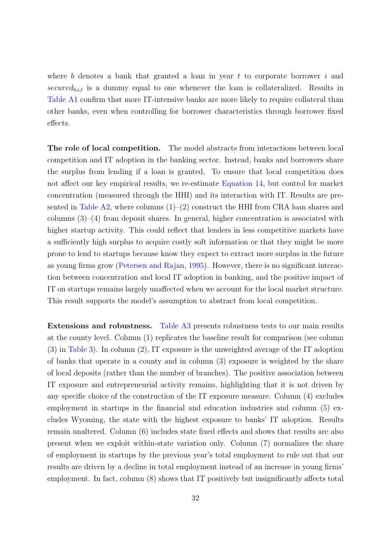where b denotes a bank that granted a loan in year t to corporate borrower  $i$  and secured<sub>b,i,t</sub> is a dummy equal to one whenever the loan is collateralized. Results in [Table A1](#page-54-0) confirm that more IT-intensive banks are more likely to require collateral than other banks, even when controlling for borrower characteristics through borrower fixed effects.

The role of local competition. The model abstracts from interactions between local competition and IT adoption in the banking sector. Instead, banks and borrowers share the surplus from lending if a loan is granted. To ensure that local competition does not affect our key empirical results, we re-estimate [Equation 14,](#page-19-0) but control for market concentration (measured through the HHI) and its interaction with IT. Results are presented in Table  $A2$ , where columns  $(1)-(2)$  construct the HHI from CRA loan shares and columns  $(3)-(4)$  from deposit shares. In general, higher concentration is associated with higher startup activity. This could reflect that lenders in less competitive markets have a sufficiently high surplus to acquire costly soft information or that they might be more prone to lend to startups because know they expect to extract more surplus in the future as young firms grow [\(Petersen and Rajan,](#page-41-9) [1995\)](#page-41-9). However, there is no significant interaction between concentration and local IT adoption in banking, and the positive impact of IT on startups remains largely unaffected when we account for the local market structure. This result supports the model's assumption to abstract from local competition.

Extensions and robustness. [Table A3](#page-56-0) presents robustness tests to our main results at the county level. Column (1) replicates the baseline result for comparison (see column (3) in [Table 3\)](#page-48-0). In column (2), IT exposure is the unweighted average of the IT adoption of banks that operate in a county and in column (3) exposure is weighted by the share of local deposits (rather than the number of branches). The positive association between IT exposure and entrepreneurial activity remains, highlighting that it is not driven by any specific choice of the construction of the IT exposure measure. Column (4) excludes employment in startups in the financial and education industries and column (5) excludes Wyoming, the state with the highest exposure to banks' IT adoption. Results remain unaltered. Column (6) includes state fixed effects and shows that results are also present when we exploit within-state variation only. Column (7) normalizes the share of employment in startups by the previous year's total employment to rule out that our results are driven by a decline in total employment instead of an increase in young firms' employment. In fact, column (8) shows that IT positively but insignificantly affects total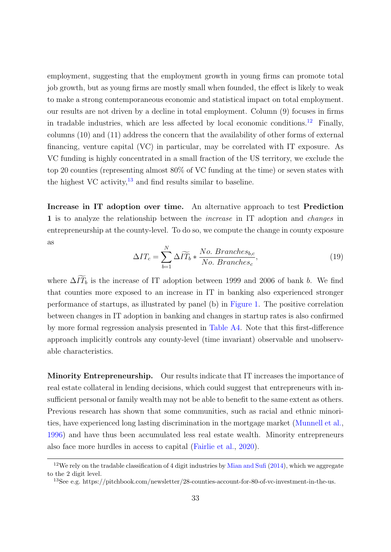employment, suggesting that the employment growth in young firms can promote total job growth, but as young firms are mostly small when founded, the effect is likely to weak to make a strong contemporaneous economic and statistical impact on total employment. our results are not driven by a decline in total employment. Column (9) focuses in firms in tradable industries, which are less affected by local economic conditions.<sup>[12](#page-33-0)</sup> Finally, columns (10) and (11) address the concern that the availability of other forms of external financing, venture capital (VC) in particular, may be correlated with IT exposure. As VC funding is highly concentrated in a small fraction of the US territory, we exclude the top 20 counties (representing almost 80% of VC funding at the time) or seven states with the highest VC activity, $13$  and find results similar to baseline.

Increase in IT adoption over time. An alternative approach to test Prediction 1 is to analyze the relationship between the increase in IT adoption and changes in entrepreneurship at the county-level. To do so, we compute the change in county exposure as

$$
\Delta IT_c = \sum_{b=1}^{N} \Delta \widetilde{IT}_b * \frac{No. \; Branches_{b,c}}{No. \; Branches_c},\tag{19}
$$

where  $\Delta \widetilde{IT}_b$  is the increase of IT adoption between 1999 and 2006 of bank b. We find that counties more exposed to an increase in IT in banking also experienced stronger performance of startups, as illustrated by panel (b) in [Figure 1.](#page-43-0) The positive correlation between changes in IT adoption in banking and changes in startup rates is also confirmed by more formal regression analysis presented in [Table A4.](#page-57-0) Note that this first-difference approach implicitly controls any county-level (time invariant) observable and unobservable characteristics.

Minority Entrepreneurship. Our results indicate that IT increases the importance of real estate collateral in lending decisions, which could suggest that entrepreneurs with insufficient personal or family wealth may not be able to benefit to the same extent as others. Previous research has shown that some communities, such as racial and ethnic minorities, have experienced long lasting discrimination in the mortgage market [\(Munnell et al.,](#page-41-10) [1996\)](#page-41-10) and have thus been accumulated less real estate wealth. Minority entrepreneurs also face more hurdles in access to capital [\(Fairlie et al.,](#page-38-11) [2020\)](#page-38-11).

<span id="page-33-0"></span><sup>&</sup>lt;sup>12</sup>We rely on the tradable classification of 4 digit industries by [Mian and Sufi](#page-41-11) [\(2014\)](#page-41-11), which we aggregate to the 2 digit level.

<span id="page-33-1"></span><sup>13</sup>See e.g. https://pitchbook.com/newsletter/28-counties-account-for-80-of-vc-investment-in-the-us.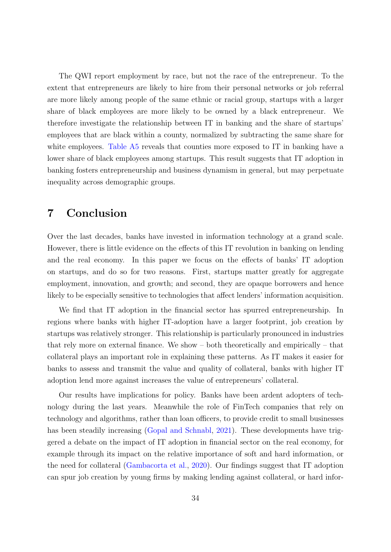The QWI report employment by race, but not the race of the entrepreneur. To the extent that entrepreneurs are likely to hire from their personal networks or job referral are more likely among people of the same ethnic or racial group, startups with a larger share of black employees are more likely to be owned by a black entrepreneur. We therefore investigate the relationship between IT in banking and the share of startups' employees that are black within a county, normalized by subtracting the same share for white employees. [Table A5](#page-58-0) reveals that counties more exposed to IT in banking have a lower share of black employees among startups. This result suggests that IT adoption in banking fosters entrepreneurship and business dynamism in general, but may perpetuate inequality across demographic groups.

# <span id="page-34-0"></span>7 Conclusion

Over the last decades, banks have invested in information technology at a grand scale. However, there is little evidence on the effects of this IT revolution in banking on lending and the real economy. In this paper we focus on the effects of banks' IT adoption on startups, and do so for two reasons. First, startups matter greatly for aggregate employment, innovation, and growth; and second, they are opaque borrowers and hence likely to be especially sensitive to technologies that affect lenders' information acquisition.

We find that IT adoption in the financial sector has spurred entrepreneurship. In regions where banks with higher IT-adoption have a larger footprint, job creation by startups was relatively stronger. This relationship is particularly pronounced in industries that rely more on external finance. We show – both theoretically and empirically – that collateral plays an important role in explaining these patterns. As IT makes it easier for banks to assess and transmit the value and quality of collateral, banks with higher IT adoption lend more against increases the value of entrepreneurs' collateral.

Our results have implications for policy. Banks have been ardent adopters of technology during the last years. Meanwhile the role of FinTech companies that rely on technology and algorithms, rather than loan officers, to provide credit to small businesses has been steadily increasing [\(Gopal and Schnabl,](#page-39-10) [2021\)](#page-39-10). These developments have triggered a debate on the impact of IT adoption in financial sector on the real economy, for example through its impact on the relative importance of soft and hard information, or the need for collateral [\(Gambacorta et al.,](#page-38-12) [2020\)](#page-38-12). Our findings suggest that IT adoption can spur job creation by young firms by making lending against collateral, or hard infor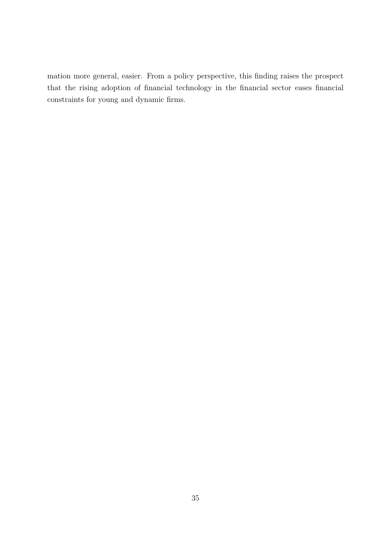mation more general, easier. From a policy perspective, this finding raises the prospect that the rising adoption of financial technology in the financial sector eases financial constraints for young and dynamic firms.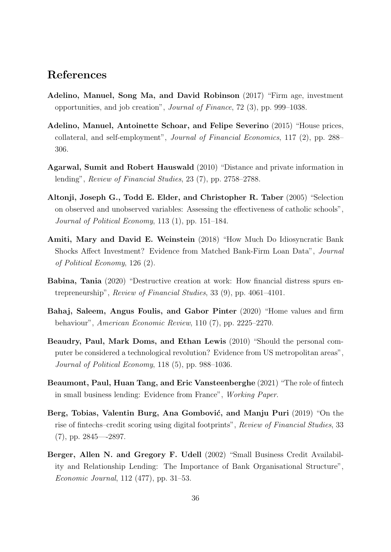# References

- <span id="page-36-3"></span>Adelino, Manuel, Song Ma, and David Robinson (2017) "Firm age, investment opportunities, and job creation", Journal of Finance, 72 (3), pp. 999–1038.
- <span id="page-36-5"></span>Adelino, Manuel, Antoinette Schoar, and Felipe Severino (2015) "House prices, collateral, and self-employment", Journal of Financial Economics, 117 (2), pp. 288– 306.
- <span id="page-36-8"></span>Agarwal, Sumit and Robert Hauswald (2010) "Distance and private information in lending", Review of Financial Studies, 23 (7), pp. 2758–2788.
- <span id="page-36-4"></span>Altonji, Joseph G., Todd E. Elder, and Christopher R. Taber (2005) "Selection on observed and unobserved variables: Assessing the effectiveness of catholic schools", Journal of Political Economy, 113 (1), pp. 151–184.
- <span id="page-36-2"></span>Amiti, Mary and David E. Weinstein (2018) "How Much Do Idiosyncratic Bank Shocks Affect Investment? Evidence from Matched Bank-Firm Loan Data", Journal of Political Economy, 126 (2).
- <span id="page-36-0"></span>Babina, Tania (2020) "Destructive creation at work: How financial distress spurs entrepreneurship", Review of Financial Studies, 33 (9), pp. 4061–4101.
- <span id="page-36-6"></span>Bahaj, Saleem, Angus Foulis, and Gabor Pinter (2020) "Home values and firm behaviour", American Economic Review, 110 (7), pp. 2225–2270.
- <span id="page-36-1"></span>Beaudry, Paul, Mark Doms, and Ethan Lewis (2010) "Should the personal computer be considered a technological revolution? Evidence from US metropolitan areas", Journal of Political Economy, 118 (5), pp. 988–1036.
- <span id="page-36-10"></span>Beaumont, Paul, Huan Tang, and Eric Vansteenberghe (2021) "The role of fintech in small business lending: Evidence from France", Working Paper.
- <span id="page-36-9"></span>Berg, Tobias, Valentin Burg, Ana Gombović, and Manju Puri (2019) "On the rise of fintechs–credit scoring using digital footprints", Review of Financial Studies, 33 (7), pp. 2845—-2897.
- <span id="page-36-7"></span>Berger, Allen N. and Gregory F. Udell (2002) "Small Business Credit Availability and Relationship Lending: The Importance of Bank Organisational Structure", Economic Journal, 112 (477), pp. 31–53.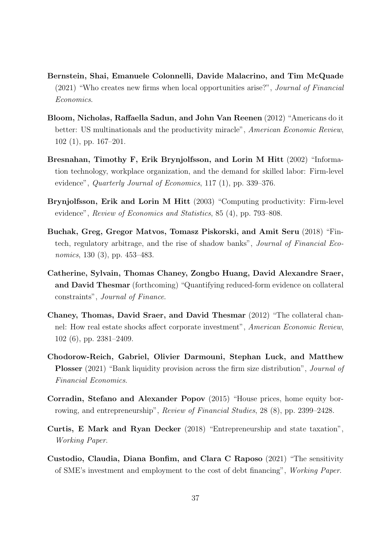- <span id="page-37-10"></span>Bernstein, Shai, Emanuele Colonnelli, Davide Malacrino, and Tim McQuade (2021) "Who creates new firms when local opportunities arise?", Journal of Financial Economics.
- <span id="page-37-2"></span>Bloom, Nicholas, Raffaella Sadun, and John Van Reenen (2012) "Americans do it better: US multinationals and the productivity miracle", American Economic Review, 102 (1), pp. 167–201.
- <span id="page-37-0"></span>Bresnahan, Timothy F, Erik Brynjolfsson, and Lorin M Hitt (2002) "Information technology, workplace organization, and the demand for skilled labor: Firm-level evidence", *Quarterly Journal of Economics*, 117 (1), pp. 339–376.
- <span id="page-37-1"></span>Brynjolfsson, Erik and Lorin M Hitt (2003) "Computing productivity: Firm-level evidence", Review of Economics and Statistics, 85 (4), pp. 793–808.
- <span id="page-37-6"></span>Buchak, Greg, Gregor Matvos, Tomasz Piskorski, and Amit Seru (2018) "Fintech, regulatory arbitrage, and the rise of shadow banks", Journal of Financial Economics, 130 (3), pp. 453–483.
- <span id="page-37-3"></span>Catherine, Sylvain, Thomas Chaney, Zongbo Huang, David Alexandre Sraer, and David Thesmar (forthcoming) "Quantifying reduced-form evidence on collateral constraints", Journal of Finance.
- <span id="page-37-4"></span>Chaney, Thomas, David Sraer, and David Thesmar (2012) "The collateral channel: How real estate shocks affect corporate investment", American Economic Review, 102 (6), pp. 2381–2409.
- <span id="page-37-7"></span>Chodorow-Reich, Gabriel, Olivier Darmouni, Stephan Luck, and Matthew Plosser (2021) "Bank liquidity provision across the firm size distribution", *Journal of* Financial Economics.
- <span id="page-37-5"></span>Corradin, Stefano and Alexander Popov (2015) "House prices, home equity borrowing, and entrepreneurship", Review of Financial Studies, 28 (8), pp. 2399–2428.
- <span id="page-37-9"></span>Curtis, E Mark and Ryan Decker (2018) "Entrepreneurship and state taxation", Working Paper.
- <span id="page-37-8"></span>Custodio, Claudia, Diana Bonfim, and Clara C Raposo (2021) "The sensitivity of SME's investment and employment to the cost of debt financing", Working Paper.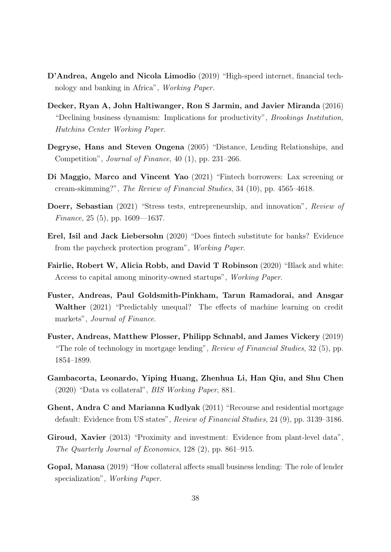- <span id="page-38-4"></span>D'Andrea, Angelo and Nicola Limodio (2019) "High-speed internet, financial technology and banking in Africa", Working Paper.
- <span id="page-38-10"></span>Decker, Ryan A, John Haltiwanger, Ron S Jarmin, and Javier Miranda (2016) "Declining business dynamism: Implications for productivity", Brookings Institution, Hutchins Center Working Paper.
- <span id="page-38-5"></span>Degryse, Hans and Steven Ongena (2005) "Distance, Lending Relationships, and Competition", Journal of Finance, 40 (1), pp. 231–266.
- <span id="page-38-3"></span>Di Maggio, Marco and Vincent Yao (2021) "Fintech borrowers: Lax screening or cream-skimming?", The Review of Financial Studies, 34 (10), pp. 4565–4618.
- <span id="page-38-0"></span>Doerr, Sebastian (2021) "Stress tests, entrepreneurship, and innovation", Review of Finance, 25 (5), pp.  $1609 - 1637$ .
- <span id="page-38-7"></span>Erel, Isil and Jack Liebersohn (2020) "Does fintech substitute for banks? Evidence from the paycheck protection program", Working Paper.
- <span id="page-38-11"></span>Fairlie, Robert W, Alicia Robb, and David T Robinson (2020) "Black and white: Access to capital among minority-owned startups", Working Paper.
- <span id="page-38-6"></span>Fuster, Andreas, Paul Goldsmith-Pinkham, Tarun Ramadorai, and Ansgar Walther (2021) "Predictably unequal? The effects of machine learning on credit markets", Journal of Finance.
- <span id="page-38-8"></span>Fuster, Andreas, Matthew Plosser, Philipp Schnabl, and James Vickery (2019) "The role of technology in mortgage lending", Review of Financial Studies, 32 (5), pp. 1854–1899.
- <span id="page-38-12"></span>Gambacorta, Leonardo, Yiping Huang, Zhenhua Li, Han Qiu, and Shu Chen (2020) "Data vs collateral", BIS Working Paper, 881.
- <span id="page-38-1"></span>Ghent, Andra C and Marianna Kudlyak (2011) "Recourse and residential mortgage default: Evidence from US states", Review of Financial Studies, 24 (9), pp. 3139–3186.
- <span id="page-38-2"></span>Giroud, Xavier (2013) "Proximity and investment: Evidence from plant-level data", The Quarterly Journal of Economics, 128 (2), pp. 861–915.
- <span id="page-38-9"></span>Gopal, Manasa (2019) "How collateral affects small business lending: The role of lender specialization", Working Paper.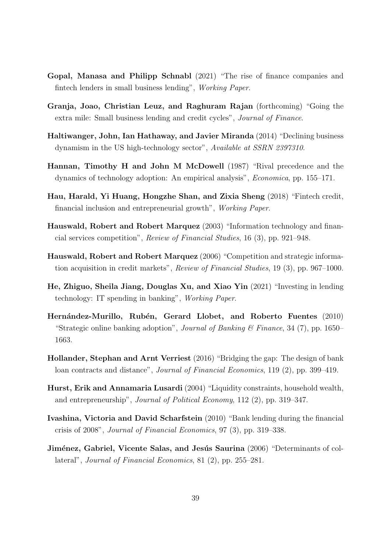- <span id="page-39-10"></span>Gopal, Manasa and Philipp Schnabl (2021) "The rise of finance companies and fintech lenders in small business lending", Working Paper.
- <span id="page-39-5"></span>Granja, Joao, Christian Leuz, and Raghuram Rajan (forthcoming) "Going the extra mile: Small business lending and credit cycles", Journal of Finance.
- <span id="page-39-11"></span>Haltiwanger, John, Ian Hathaway, and Javier Miranda (2014) "Declining business dynamism in the US high-technology sector", Available at SSRN 2397310.
- <span id="page-39-0"></span>Hannan, Timothy H and John M McDowell (1987) "Rival precedence and the dynamics of technology adoption: An empirical analysis", Economica, pp. 155–171.
- <span id="page-39-9"></span>Hau, Harald, Yi Huang, Hongzhe Shan, and Zixia Sheng (2018) "Fintech credit, financial inclusion and entrepreneurial growth", Working Paper.
- <span id="page-39-4"></span>Hauswald, Robert and Robert Marquez (2003) "Information technology and financial services competition", Review of Financial Studies, 16 (3), pp. 921–948.
- <span id="page-39-6"></span>Hauswald, Robert and Robert Marquez (2006) "Competition and strategic information acquisition in credit markets", Review of Financial Studies, 19 (3), pp. 967–1000.
- <span id="page-39-3"></span>He, Zhiguo, Sheila Jiang, Douglas Xu, and Xiao Yin (2021) "Investing in lending technology: IT spending in banking", Working Paper.
- <span id="page-39-1"></span>Hernández-Murillo, Rubén, Gerard Llobet, and Roberto Fuentes (2010) "Strategic online banking adoption", Journal of Banking & Finance, 34 (7), pp. 1650– 1663.
- <span id="page-39-8"></span>Hollander, Stephan and Arnt Verriest (2016) "Bridging the gap: The design of bank loan contracts and distance", Journal of Financial Economics, 119 (2), pp. 399–419.
- <span id="page-39-2"></span>Hurst, Erik and Annamaria Lusardi (2004) "Liquidity constraints, household wealth, and entrepreneurship", Journal of Political Economy, 112 (2), pp. 319–347.
- <span id="page-39-12"></span>Ivashina, Victoria and David Scharfstein (2010) "Bank lending during the financial crisis of 2008", Journal of Financial Economics, 97 (3), pp. 319–338.
- <span id="page-39-7"></span>Jiménez, Gabriel, Vicente Salas, and Jesús Saurina (2006) "Determinants of collateral", Journal of Financial Economics, 81 (2), pp. 255–281.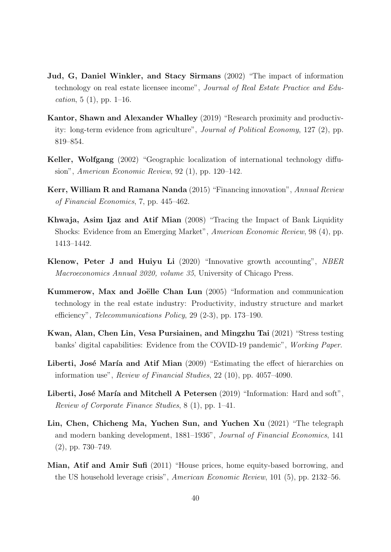- <span id="page-40-5"></span>Jud, G, Daniel Winkler, and Stacy Sirmans (2002) "The impact of information technology on real estate licensee income", Journal of Real Estate Practice and Edu*cation*, 5 (1), pp. 1–16.
- <span id="page-40-10"></span>Kantor, Shawn and Alexander Whalley (2019) "Research proximity and productivity: long-term evidence from agriculture", Journal of Political Economy, 127 (2), pp. 819–854.
- <span id="page-40-11"></span>Keller, Wolfgang (2002) "Geographic localization of international technology diffusion", American Economic Review, 92 (1), pp. 120–142.
- <span id="page-40-2"></span>Kerr, William R and Ramana Nanda (2015) "Financing innovation", Annual Review of Financial Economics, 7, pp. 445–462.
- <span id="page-40-4"></span>Khwaja, Asim Ijaz and Atif Mian (2008) "Tracing the Impact of Bank Liquidity Shocks: Evidence from an Emerging Market", American Economic Review, 98 (4), pp. 1413–1442.
- <span id="page-40-1"></span>Klenow, Peter J and Huiyu Li (2020) "Innovative growth accounting", NBER Macroeconomics Annual 2020, volume 35, University of Chicago Press.
- <span id="page-40-3"></span>Kummerow, Max and Joëlle Chan Lun (2005) "Information and communication technology in the real estate industry: Productivity, industry structure and market efficiency", Telecommunications Policy, 29 (2-3), pp. 173–190.
- <span id="page-40-9"></span>Kwan, Alan, Chen Lin, Vesa Pursiainen, and Mingzhu Tai (2021) "Stress testing banks' digital capabilities: Evidence from the COVID-19 pandemic", Working Paper.
- <span id="page-40-7"></span>Liberti, José María and Atif Mian (2009) "Estimating the effect of hierarchies on information use", Review of Financial Studies, 22 (10), pp. 4057–4090.
- <span id="page-40-0"></span>Liberti, José María and Mitchell A Petersen  $(2019)$  "Information: Hard and soft", Review of Corporate Finance Studies, 8 (1), pp. 1–41.
- <span id="page-40-8"></span>Lin, Chen, Chicheng Ma, Yuchen Sun, and Yuchen Xu (2021) "The telegraph and modern banking development, 1881–1936", Journal of Financial Economics, 141 (2), pp. 730–749.
- <span id="page-40-6"></span>Mian, Atif and Amir Sufi (2011) "House prices, home equity-based borrowing, and the US household leverage crisis", American Economic Review, 101 (5), pp. 2132–56.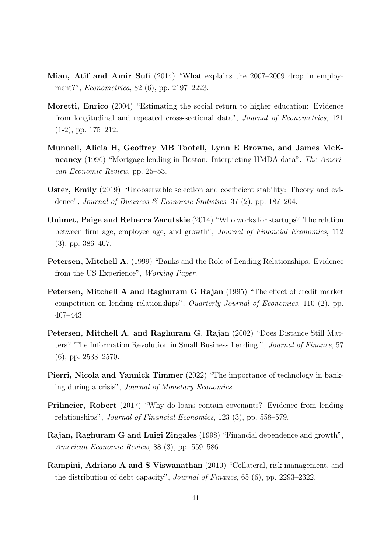- <span id="page-41-11"></span>Mian, Atif and Amir Sufi (2014) "What explains the 2007–2009 drop in employment?", Econometrica, 82 (6), pp. 2197–2223.
- <span id="page-41-4"></span>Moretti, Enrico (2004) "Estimating the social return to higher education: Evidence from longitudinal and repeated cross-sectional data", Journal of Econometrics, 121  $(1-2)$ , pp.  $175-212$ .
- <span id="page-41-10"></span>Munnell, Alicia H, Geoffrey MB Tootell, Lynn E Browne, and James McEneaney (1996) "Mortgage lending in Boston: Interpreting HMDA data", The American Economic Review, pp. 25–53.
- <span id="page-41-3"></span>Oster, Emily (2019) "Unobservable selection and coefficient stability: Theory and evidence", Journal of Business & Economic Statistics, 37 (2), pp. 187–204.
- <span id="page-41-7"></span>Ouimet, Paige and Rebecca Zarutskie (2014) "Who works for startups? The relation between firm age, employee age, and growth", Journal of Financial Economics, 112 (3), pp. 386–407.
- <span id="page-41-5"></span>Petersen, Mitchell A. (1999) "Banks and the Role of Lending Relationships: Evidence from the US Experience", Working Paper.
- <span id="page-41-9"></span>Petersen, Mitchell A and Raghuram G Rajan (1995) "The effect of credit market competition on lending relationships", Quarterly Journal of Economics, 110 (2), pp. 407–443.
- <span id="page-41-0"></span>Petersen, Mitchell A. and Raghuram G. Rajan (2002) "Does Distance Still Matters? The Information Revolution in Small Business Lending.", Journal of Finance, 57 (6), pp. 2533–2570.
- <span id="page-41-1"></span>Pierri, Nicola and Yannick Timmer (2022) "The importance of technology in banking during a crisis", Journal of Monetary Economics.
- <span id="page-41-6"></span>Prilmeier, Robert (2017) "Why do loans contain covenants? Evidence from lending relationships", Journal of Financial Economics, 123 (3), pp. 558–579.
- <span id="page-41-2"></span>Rajan, Raghuram G and Luigi Zingales (1998) "Financial dependence and growth", American Economic Review, 88 (3), pp. 559–586.
- <span id="page-41-8"></span>Rampini, Adriano A and S Viswanathan (2010) "Collateral, risk management, and the distribution of debt capacity", Journal of Finance, 65 (6), pp. 2293–2322.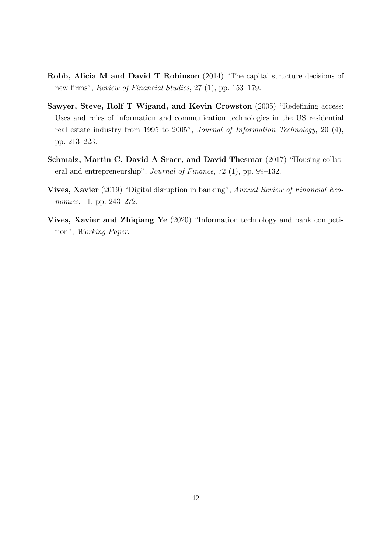- <span id="page-42-1"></span>Robb, Alicia M and David T Robinson (2014) "The capital structure decisions of new firms", Review of Financial Studies, 27 (1), pp. 153–179.
- <span id="page-42-2"></span>Sawyer, Steve, Rolf T Wigand, and Kevin Crowston (2005) "Redefining access: Uses and roles of information and communication technologies in the US residential real estate industry from 1995 to 2005", Journal of Information Technology, 20 (4), pp. 213–223.
- <span id="page-42-4"></span>Schmalz, Martin C, David A Sraer, and David Thesmar (2017) "Housing collateral and entrepreneurship", Journal of Finance, 72 (1), pp. 99–132.
- <span id="page-42-0"></span>Vives, Xavier (2019) "Digital disruption in banking", Annual Review of Financial Economics, 11, pp. 243–272.
- <span id="page-42-3"></span>Vives, Xavier and Zhiqiang Ye (2020) "Information technology and bank competition", Working Paper.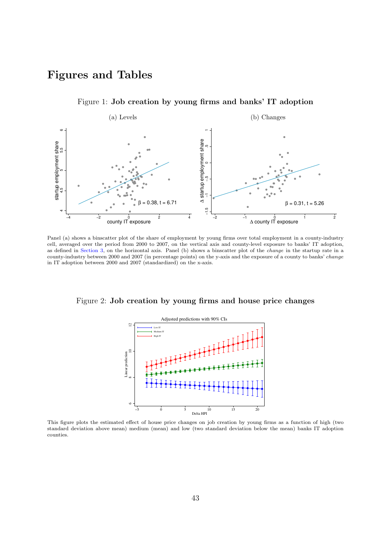# Figures and Tables

<span id="page-43-0"></span>

Figure 1: Job creation by young firms and banks' IT adoption

Panel (a) shows a binscatter plot of the share of employment by young firms over total employment in a county-industry cell, averaged over the period from 2000 to 2007, on the vertical axis and county-level exposure to banks' IT adoption, as defined in [Section 3,](#page-15-0) on the horizontal axis. Panel (b) shows a binscatter plot of the change in the startup rate in a county-industry between 2000 and 2007 (in percentage points) on the y-axis and the exposure of a county to banks' change in IT adoption between 2000 and 2007 (standardized) on the x-axis.

<span id="page-43-1"></span>Figure 2: Job creation by young firms and house price changes



This figure plots the estimated effect of house price changes on job creation by young firms as a function of high (two standard deviation above mean) medium (mean) and low (two standard deviation below the mean) banks IT adoption counties.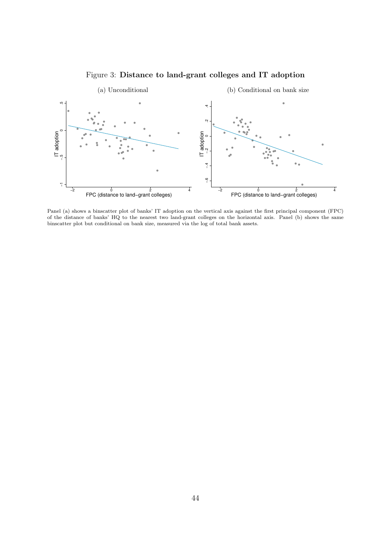

<span id="page-44-0"></span>

Panel (a) shows a binscatter plot of banks' IT adoption on the vertical axis against the first principal component (FPC) of the distance of banks' HQ to the nearest two land-grant colleges on the horizontal axis. Panel (b) shows the same binscatter plot but conditional on bank size, measured via the log of total bank assets.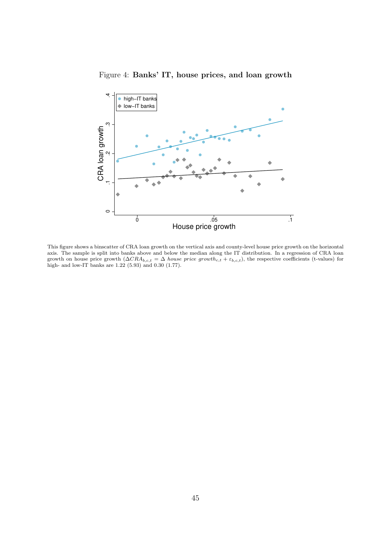Figure 4: Banks' IT, house prices, and loan growth

<span id="page-45-0"></span>

This figure shows a binscatter of CRA loan growth on the vertical axis and county-level house price growth on the horizontal axis. The sample is split into banks above and below the median along the IT distribution. In a regression of CRA loan growth on house price growth  $(\Delta CRA_{b,c,t} = \Delta$  house price growth<sub>c,t</sub> +  $\varepsilon_{b,c,t}$ ), the respective coefficients (t-values) for high- and low-IT banks are 1.22 (5.93) and 0.30 (1.77).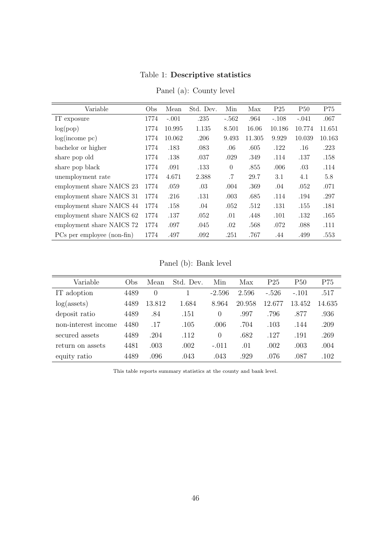## Table 1: Descriptive statistics

<span id="page-46-0"></span>

| Variable                   | Obs  | Mean    | Std. Dev. | Min      | Max    | P <sub>25</sub> | <b>P50</b> | P75    |
|----------------------------|------|---------|-----------|----------|--------|-----------------|------------|--------|
|                            |      |         |           |          |        |                 |            |        |
| IT exposure                | 1774 | $-.001$ | .235      | $-.562$  | .964   | $-.108$         | $-.041$    | .067   |
| log(pop)                   | 1774 | 10.995  | 1.135     | 8.501    | 16.06  | 10.186          | 10.774     | 11.651 |
| log(income~pc)             | 1774 | 10.062  | .206      | 9.493    | 11.305 | 9.929           | 10.039     | 10.163 |
| bachelor or higher         | 1774 | .183    | .083      | .06      | .605   | .122            | $.16\,$    | .223   |
| share pop old              | 1774 | .138    | .037      | .029     | .349   | .114            | .137       | .158   |
| share pop black            | 1774 | .091    | .133      | $\theta$ | .855   | .006            | .03        | .114   |
| unemployment rate          | 1774 | 4.671   | 2.388     | .7       | 29.7   | 3.1             | 4.1        | 5.8    |
| employment share NAICS 23  | 1774 | .059    | .03       | .004     | .369   | .04             | .052       | .071   |
| employment share NAICS 31  | 1774 | .216    | .131      | .003     | .685   | .114            | .194       | .297   |
| employment share NAICS 44  | 1774 | .158    | .04       | .052     | .512   | .131            | .155       | .181   |
| employment share NAICS 62  | 1774 | .137    | .052      | .01      | .448   | .101            | .132       | .165   |
| employment share NAICS 72  | 1774 | .097    | .045      | .02      | .568   | .072            | .088       | .111   |
| PCs per employee (non-fin) | 1774 | .497    | .092      | .251     | .767   | .44             | .499       | .553   |

Panel (a): County level

Panel (b): Bank level

| Variable            | Obs  | Mean             | Std. Dev. | Min      | Max    | P <sub>25</sub> | P50     | P75    |
|---------------------|------|------------------|-----------|----------|--------|-----------------|---------|--------|
| IT adoption         | 4489 | $\left( \right)$ |           | $-2.596$ | 2.596  | $-.526$         | $-.101$ | .517   |
| $log($ assets $)$   | 4489 | 13.812           | 1.684     | 8.964    | 20.958 | 12.677          | 13.452  | 14.635 |
| deposit ratio       | 4489 | .84              | .151      | $\theta$ | .997   | .796            | .877    | .936   |
| non-interest income | 4480 | .17              | .105      | .006     | .704   | .103            | .144    | .209   |
| secured assets      | 4489 | .204             | .112      | $\Omega$ | .682   | .127            | .191    | .269   |
| return on assets    | 4481 | $.003\,$         | .002      | $-.011$  | .01    | .002            | .003    | .004   |
| equity ratio        | 4489 | .096             | .043      | .043     | .929   | .076            | .087    | .102   |

This table reports summary statistics at the county and bank level.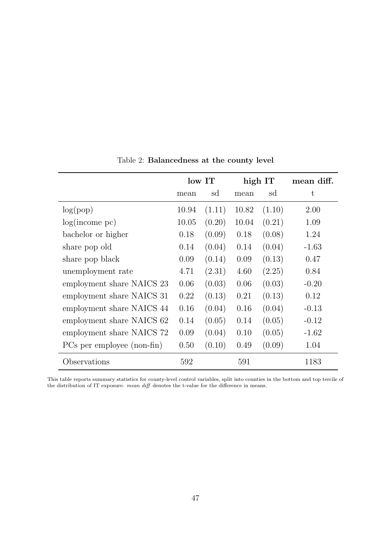<span id="page-47-0"></span>

|                            |       | low IT |       | high IT | mean diff. |
|----------------------------|-------|--------|-------|---------|------------|
|                            | mean  | sd     | mean  | sd      | t          |
| log(pop)                   | 10.94 | (1.11) | 10.82 | (1.10)  | 2.00       |
| log(income~pc)             | 10.05 | (0.20) | 10.04 | (0.21)  | 1.09       |
| bachelor or higher         | 0.18  | (0.09) | 0.18  | (0.08)  | 1.24       |
| share pop old              | 0.14  | (0.04) | 0.14  | (0.04)  | $-1.63$    |
| share pop black            | 0.09  | (0.14) | 0.09  | (0.13)  | 0.47       |
| unemployment rate          | 4.71  | (2.31) | 4.60  | (2.25)  | 0.84       |
| employment share NAICS 23  | 0.06  | (0.03) | 0.06  | (0.03)  | $-0.20$    |
| employment share NAICS 31  | 0.22  | (0.13) | 0.21  | (0.13)  | 0.12       |
| employment share NAICS 44  | 0.16  | (0.04) | 0.16  | (0.04)  | $-0.13$    |
| employment share NAICS 62  | 0.14  | (0.05) | 0.14  | (0.05)  | $-0.12$    |
| employment share NAICS 72  | 0.09  | (0.04) | 0.10  | (0.05)  | $-1.62$    |
| PCs per employee (non-fin) | 0.50  | (0.10) | 0.49  | (0.09)  | 1.04       |
| Observations               | 592   |        | 591   |         | 1183       |

Table 2: Balancedness at the county level

This table reports summary statistics for county-level control variables, split into counties in the bottom and top tercile of the distribution of IT exposure. mean diff denotes the t-value for the difference in means.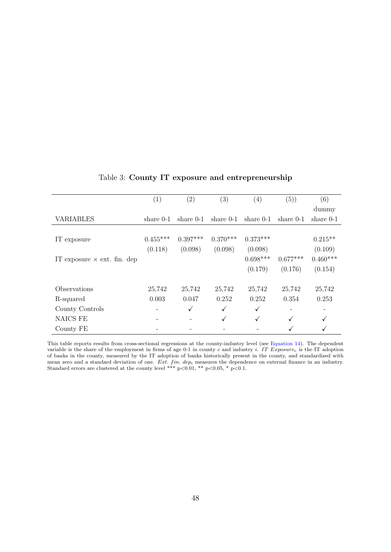<span id="page-48-0"></span>

|                                    | $\left( 1\right)$ | (2)          | (3)         | (4)          | (5))        | (6)         |
|------------------------------------|-------------------|--------------|-------------|--------------|-------------|-------------|
|                                    |                   |              |             |              |             | dummy       |
| VARIABLES                          | share $0-1$       | share $0-1$  | share $0-1$ | share $0-1$  | share $0-1$ | share $0-1$ |
|                                    |                   |              |             |              |             |             |
| IT exposure                        | $0.455***$        | $0.397***$   | $0.370***$  | $0.373***$   |             | $0.215**$   |
|                                    | (0.118)           | (0.098)      | (0.098)     | (0.098)      |             | (0.109)     |
| IT exposure $\times$ ext. fin. dep |                   |              |             | $0.698***$   | $0.677***$  | $0.460***$  |
|                                    |                   |              |             | (0.179)      | (0.176)     | (0.154)     |
| Observations                       | 25,742            | 25,742       | 25,742      | 25,742       | 25,742      | 25,742      |
| R-squared                          | 0.003             | 0.047        | 0.252       | 0.252        | 0.354       | 0.253       |
| County Controls                    |                   | $\checkmark$ | ✓           | $\checkmark$ |             |             |
| NAICS FE                           |                   |              | ✓           |              | ✓           | ✓           |
| County FE                          |                   |              |             |              |             |             |

## Table 3: County IT exposure and entrepreneurship

This table reports results from cross-sectional regressions at the county-industry level (see [Equation 14\)](#page-19-0). The dependent variable is the share of the employment in firms of age 0-1 in county c and industry i. IT Exposure<sub>c</sub> is the IT adoption of banks in the county, measured by the IT adoption of banks historically present in the county, and standardized with mean zero and a standard deviation of one. Ext. fin.  $dep<sub>i</sub>$  measures the dependence on external finance in an industry. Standard errors are clustered at the county level \*\*\* p<0.01, \*\* p<0.05, \* p<0.1.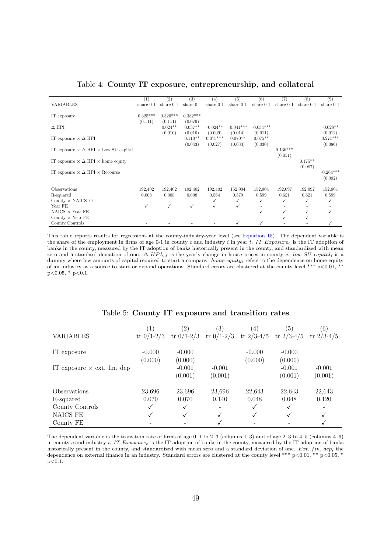<span id="page-49-0"></span>

|                                                         | (1)         | (2)         | (3)         | (4)          | (5)         | (6)         | 7)          | (8)         | (9)         |
|---------------------------------------------------------|-------------|-------------|-------------|--------------|-------------|-------------|-------------|-------------|-------------|
| <b>VARIABLES</b>                                        | share $0-1$ | share $0-1$ | share $0-1$ | share $0-1$  | share $0-1$ | share $0-1$ | share $0-1$ | share $0-1$ | share $0-1$ |
|                                                         |             |             |             |              |             |             |             |             |             |
| IT exposure                                             | $0.325***$  | $0.320***$  | $0.382***$  |              |             |             |             |             |             |
|                                                         | (0.111)     | (0.111)     | (0.079)     |              |             |             |             |             |             |
| $\Delta$ HPI                                            |             | $0.024**$   | $0.037**$   | $-0.024**$   | $-0.041***$ | $-0.034***$ |             |             | $-0.028**$  |
|                                                         |             | (0.010)     | (0.010)     | (0.009)      | (0.014)     | (0.011)     |             |             | (0.012)     |
| IT exposure $\times \Delta$ HPI                         |             |             | $0.110**$   | $0.075***$   | $0.070**$   | $0.075**$   |             |             | $0.271***$  |
|                                                         |             |             | (0.043)     | (0.027)      | (0.033)     | (0.030)     |             |             | (0.086)     |
| IT exposure $\times \Delta$ HPI $\times$ Low SU capital |             |             |             |              |             |             | $0.136***$  |             |             |
|                                                         |             |             |             |              |             |             |             |             |             |
|                                                         |             |             |             |              |             |             | (0.051)     |             |             |
| IT exposure $\times \Delta$ HPI $\times$ home equity    |             |             |             |              |             |             |             | $0.175**$   |             |
|                                                         |             |             |             |              |             |             |             | (0.087)     |             |
| IT exposure $\times \Delta$ HPI $\times$ Recourse       |             |             |             |              |             |             |             |             | $-0.264***$ |
|                                                         |             |             |             |              |             |             |             |             | (0.092)     |
|                                                         |             |             |             |              |             |             |             |             |             |
| Observations                                            | 192,402     | 192,402     | 192,402     | 192,402      | 152,904     | 152,904     | 192,097     | 192,097     | 152,904     |
| R-squared                                               | 0.008       | 0.008       | 0.008       | 0.564        | 0.579       | 0.599       | 0.621       | 0.621       | 0.599       |
| County $\times$ NAICS FE                                |             |             | ٠           | √            | √           | √           | ✓           | √           |             |
| Year FE                                                 | ✓           | ✓           | ✓           | $\checkmark$ | ✓           |             |             |             |             |
| NAICS $\times$ Year FE                                  |             |             |             |              |             | √           | ✓           | ✓           |             |
| County $\times$ Year FE                                 |             |             |             |              |             |             | ✓           |             |             |
| County Controls                                         |             |             |             |              | ✓           | √           |             |             |             |

#### Table 4: County IT exposure, entrepreneurship, and collateral

This table reports results for regressions at the county-industry-year level (see [Equation 15\)](#page-22-0). The dependent variable is the share of the employment in firms of age 0-1 in county c and industry i in year t. IT Exposure<sub>c</sub> is the IT adoption of banks in the county, measured by the IT adoption of banks historically present in the county, and standardized with mean zero and a standard deviation of one.  $\Delta HPL_{ct}$  is the yearly change in house prices in county c. low SU capital<sub>i</sub> is a dummy where low amounts of capital required to start a company. home equity<sub>i</sub> refers to the dependence on home equity of an industry as a source to start or expand operations. Standard errors are clustered at the county level \*\*\*  $p<0.01$ , \*\*  $p<0.05$ , \*  $p<0.1$ .

<span id="page-49-1"></span>

|                                    |              | (2)          | (3)          | (4)            | $\left(5\right)$ | (6)          |
|------------------------------------|--------------|--------------|--------------|----------------|------------------|--------------|
| <b>VARIABLES</b>                   | tr $0/1-2/3$ | tr $0/1-2/3$ | tr $0/1-2/3$ | tr $2/3 - 4/5$ | tr $2/3 - 4/5$   | tr $2/3-4/5$ |
|                                    |              |              |              |                |                  |              |
| IT exposure                        | $-0.000$     | $-0.000$     |              | $-0.000$       | $-0.000$         |              |
|                                    | (0.000)      | (0.000)      |              | (0.000)        | (0.000)          |              |
| IT exposure $\times$ ext. fin. dep |              | $-0.001$     | $-0.001$     |                | $-0.001$         | $-0.001$     |
|                                    |              | (0.001)      | (0.001)      |                | (0.001)          | (0.001)      |
| Observations                       | 23,696       | 23,696       | 23,696       | 22,643         | 22,643           | 22,643       |
| R-squared                          | 0.070        | 0.070        | 0.140        | 0.048          | 0.048            | 0.120        |
| County Controls                    | ✓            | √            |              | √              |                  |              |
| NAICS FE                           |              |              | ✓            |                |                  |              |
| County FE                          |              |              |              |                |                  |              |
|                                    |              |              |              |                |                  |              |

#### Table 5: County IT exposure and transition rates

The dependent variable is the transition rate of firms of age  $0-1$  to  $2-3$  (columns  $1-3$ ) and of age  $2-3$  to  $4-5$  (columns  $4-6$ ) in county c and industry i. IT  $Exposure_c$  is the IT adoption of banks in the county, measured by the IT adoption of banks historically present in the county, and standardized with mean zero and a standard deviation of one. Ext. fin. dep<sub>i</sub> the dependence on external finance in an industry. Standard errors are clustered at the county level \*\*\*  $p<0.01$ , \*\*  $p<0.05$ , \*  $p<0.1$ .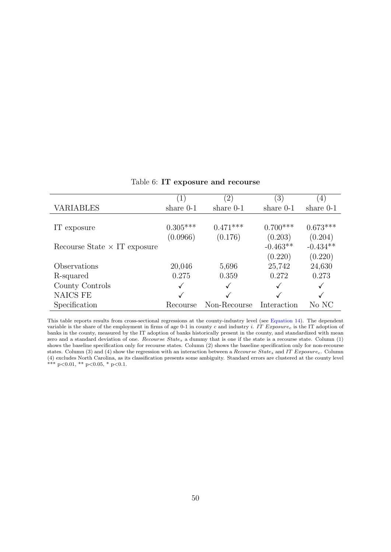<span id="page-50-0"></span>

|                                     | $\left(1\right)$ | $\left( 2\right)$ | $\left(3\right)$ | (4)         |
|-------------------------------------|------------------|-------------------|------------------|-------------|
| VARIABLES                           | share $0-1$      | share $0-1$       | share $0-1$      | share $0-1$ |
|                                     |                  |                   |                  |             |
| IT exposure                         | $0.305***$       | $0.471***$        | $0.700***$       | $0.673***$  |
|                                     | (0.0966)         | (0.176)           | (0.203)          | (0.204)     |
| Recourse State $\times$ IT exposure |                  |                   | $-0.463**$       | $-0.434**$  |
|                                     |                  |                   | (0.220)          | (0.220)     |
| Observations                        | 20,046           | 5,696             | 25,742           | 24,630      |
| R-squared                           | 0.275            | 0.359             | 0.272            | 0.273       |
| County Controls                     | ✓                |                   |                  | ✓           |
| NAICS FE                            |                  |                   |                  |             |
| Specification                       | Recourse         | Non-Recourse      | Interaction      | No NC       |

Table 6: IT exposure and recourse

This table reports results from cross-sectional regressions at the county-industry level (see [Equation 14\)](#page-19-0). The dependent variable is the share of the employment in firms of age 0-1 in county c and industry i. IT Exposure<sub>c</sub> is the IT adoption of banks in the county, measured by the IT adoption of banks historically present in the county, and standardized with mean zero and a standard deviation of one. Recourse States a dummy that is one if the state is a recourse state. Column (1) shows the baseline specification only for recourse states. Column (2) shows the baseline specification only for non-recourse states. Column (3) and (4) show the regression with an interaction between a Recourse State<sub>s</sub> and IT Exposure<sub>c</sub>. Column (4) excludes North Carolina, as its classification presents some ambiguity. Standard errors are clustered at the county level \*\*\*  $p<0.01$ , \*\*  $p<0.05$ , \*  $p<0.1$ .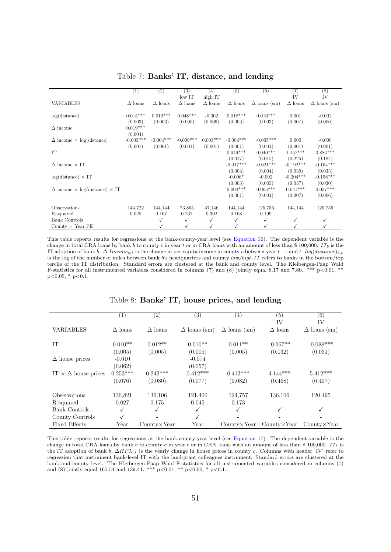<span id="page-51-0"></span>

|                                                    | $\left(1\right)$ | (2)            | (3)            | (4)            | (5)            | (6)                 | (7)            | (8)                 |
|----------------------------------------------------|------------------|----------------|----------------|----------------|----------------|---------------------|----------------|---------------------|
|                                                    |                  |                | $low$ IT       | high IT        |                |                     | IV             | IV                  |
| <b>VARIABLES</b>                                   | $\Delta$ loans   | $\Delta$ loans | $\Delta$ loans | $\Delta$ loans | $\Delta$ loans | $\Delta$ loans (sm) | $\Delta$ loans | $\Delta$ loans (sm) |
|                                                    |                  |                |                |                |                |                     |                |                     |
| log(distance)                                      | $0.015***$       | $0.019***$     | $0.048***$     | $-0.002$       | $0.018***$     | $0.016***$          | 0.001          | $-0.002$            |
|                                                    | (0.003)          | (0.003)        | (0.005)        | (0.006)        | (0.003)        | (0.003)             | (0.007)        | (0.006)             |
| $\Delta$ income                                    | $0.019***$       |                |                |                |                |                     |                |                     |
|                                                    | (0.004)          |                |                |                |                |                     |                |                     |
| $\Delta$ income $\times$ log(distance)             | $-0.003***$      | $-0.004***$    | $-0.009***$    | $0.003***$     | $-0.004***$    | $-0.005***$         | 0.000          | $-0.000$            |
|                                                    | (0.001)          | (0.001)        | (0.001)        | (0.001)        | (0.001)        | (0.001)             | (0.001)        | (0.001)             |
| IT                                                 |                  |                |                |                | $0.049***$     | $0.040***$          | $1.157***$     | $0.884***$          |
|                                                    |                  |                |                |                | (0.017)        | (0.015)             | (0.225)        | (0.184)             |
| $\Delta$ income $\times$ IT                        |                  |                |                |                | $-0.017***$    | $-0.021***$         | $-0.192***$    | $-0.164***$         |
|                                                    |                  |                |                |                | (0.004)        | (0.004)             | (0.039)        | (0.033)             |
| $log(distance) \times IT$                          |                  |                |                |                | $-0.006*$      | $-0.002$            | $-0.204***$    | $-0.158***$         |
|                                                    |                  |                |                |                | (0.003)        | (0.003)             | (0.037)        | (0.030)             |
| $\Delta$ income $\times$ log(distance) $\times$ IT |                  |                |                |                | $0.004***$     | $0.005***$          | $0.041***$     | $0.037***$          |
|                                                    |                  |                |                |                | (0.001)        | (0.001)             | (0.007)        | (0.006)             |
| Observations                                       | 144,722          | 144,144        | 73,865         | 47,146         | 144,144        | 125,756             | 144,144        | 125,756             |
| R-squared                                          | 0.025            | 0.167          | 0.267          | 0.302          | 0.168          | 0.199               |                |                     |
| <b>Bank Controls</b>                               |                  | ✓              | ✓              | ✓              | $\checkmark$   | ✓                   | ✓              | √                   |
| County $\times$ Year FE                            |                  | ✓              | ✓              | ✓              | $\checkmark$   | $\checkmark$        |                |                     |

Table 7: Banks' IT, distance, and lending

This table reports results for regressions at the bank-county-year level (see [Equation 16\)](#page-28-0). The dependent variable is the change in total CRA loans by bank b to county c in year t or in CRA loans with an amount of less than \$ 100,000. IT<sub>b</sub> is the IT adoption of bank b.  $\Delta Incomec,t$  is the change in per capita income in county c between year t –1 and t. log(distance)<sub>b,c</sub> is the log of the number of miles between bank b's headquarters and county low/high IT refers to banks in the bottom/top tercile of the IT distribution. Standard errors are clustered at the bank and county level. The Kleibergen-Paap Wald F-statistics for all instrumented variables considered in columns (7) and (8) jointly equal 8.17 and 7.80. \*\*\*  $p<0.01$ , \*\*  $p<0.05$ , \*  $p<0.1$ .

<span id="page-51-1"></span>

|                                 | $\left( 1\right)$ | (2)                   | $\left( 3\right)$   | (4)                 | (5)                   | (6)                   |
|---------------------------------|-------------------|-----------------------|---------------------|---------------------|-----------------------|-----------------------|
|                                 |                   |                       |                     |                     | IV                    | IV                    |
| <b>VARIABLES</b>                | $\Delta$ loans    | $\Delta$ loans        | $\Delta$ loans (sm) | $\Delta$ loans (sm) | $\Delta$ loans        | $\Delta$ loans (sm)   |
|                                 |                   |                       |                     |                     |                       |                       |
| IT                              | $0.010**$         | $0.012**$             | $0.010**$           | $0.011**$           | $-0.067**$            | $-0.088***$           |
|                                 | (0.005)           | (0.005)               | (0.005)             | (0.005)             | (0.032)               | (0.031)               |
| $\Delta$ house prices           | $-0.010$          |                       | $-0.074$            |                     |                       |                       |
|                                 | (0.062)           |                       | (0.057)             |                     |                       |                       |
| IT $\times \Delta$ house prices | $0.253***$        | $0.243***$            | $0.412***$          | $0.413***$          | $4.144***$            | $5.412***$            |
|                                 | (0.076)           | (0.080)               | (0.077)             | (0.082)             | (0.468)               | (0.457)               |
| Observations                    | 136,821           | 136,106               | 121,400             | 124,757             | 136,106               | 120,495               |
| R-squared                       | 0.027             | 0.175                 | 0.045               | 0.173               |                       |                       |
| <b>Bank Controls</b>            | ✓                 | $\checkmark$          | ✓                   | ✓                   | √                     |                       |
| County Controls                 | √                 |                       | $\checkmark$        |                     |                       |                       |
| <b>Fixed Effects</b>            | Year              | $Country \times Year$ | Year                | CountryXYear        | $Country \times Year$ | $Country \times Year$ |

Table 8: Banks' IT, house prices, and lending

This table reports results for regressions at the bank-county-year level (see [Equation 17\)](#page-30-0). The dependent variable is the change in total CRA loans by bank b to county c in year t or in CRA loans with an amount of less than \$ 100,000. IT<sub>b</sub> is the IT adoption of bank b,  $\Delta HPL_{c,t}$  is the yearly change in house prices in county c. Columns with header 'IV' refer to regression that instrument bank-level IT with the land-grant colleagues instrument. Standard errors are clustered at the bank and county level. The Kleibergen-Paap Wald F-statistics for all instrumented variables considered in columns (7) and (8) jointly equal 165.54 and 139.41. \*\*\*  $p<0.01$ , \*\*  $p<0.05$ , \*  $p<0.1$ .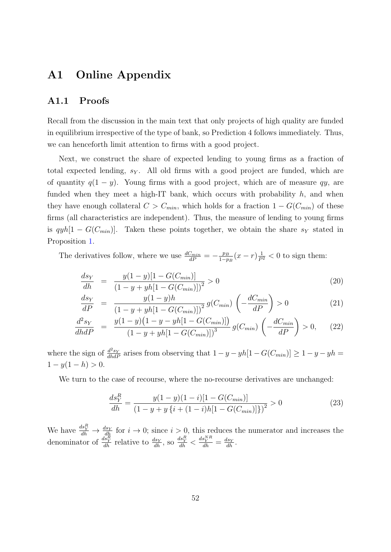# A1 Online Appendix

### <span id="page-52-0"></span>A1.1 Proofs

Recall from the discussion in the main text that only projects of high quality are funded in equilibrium irrespective of the type of bank, so Prediction 4 follows immediately. Thus, we can henceforth limit attention to firms with a good project.

Next, we construct the share of expected lending to young firms as a fraction of total expected lending,  $s_Y$ . All old firms with a good project are funded, which are of quantity  $q(1 - y)$ . Young firms with a good project, which are of measure qy, are funded when they meet a high-IT bank, which occurs with probability  $h$ , and when they have enough collateral  $C > C_{min}$ , which holds for a fraction  $1 - G(C_{min})$  of these firms (all characteristics are independent). Thus, the measure of lending to young firms is  $qyh[1 - G(C_{min})]$ . Taken these points together, we obtain the share s<sub>Y</sub> stated in Proposition [1.](#page-12-1)

The derivatives follow, where we use  $\frac{dC_{min}}{dP} = -\frac{p_B}{1-p}$  $\frac{p_B}{1-p_B}(x-r)\frac{1}{P^2} < 0$  to sign them:

$$
\frac{ds_Y}{dh} = \frac{y(1-y)[1 - G(C_{min})]}{(1 - y + yh[1 - G(C_{min})])^2} > 0
$$
\n(20)

$$
\frac{ds_Y}{dP} = \frac{y(1-y)h}{(1-y+yh[1-G(C_{min})])^2}g(C_{min})\left(-\frac{dC_{min}}{dP}\right) > 0
$$
\n(21)

$$
\frac{d^2s_Y}{dhdP} = \frac{y(1-y)(1-y-yh[1-G(C_{min})])}{(1-y+yh[1-G(C_{min})])^3}g(C_{min})\left(-\frac{dC_{min}}{dP}\right) > 0,\qquad(22)
$$

where the sign of  $\frac{d^2s_Y}{dhdP}$  arises from observing that  $1 - y - yh[1 - G(C_{min})] \ge 1 - y - yh =$  $1 - y(1 - h) > 0.$ 

We turn to the case of recourse, where the no-recourse derivatives are unchanged:

$$
\frac{ds_Y^R}{dh} = \frac{y(1-y)(1-i)[1 - G(C_{min})]}{(1 - y + y\{i + (1-i)h[1 - G(C_{min})]\})^2} > 0
$$
\n(23)

We have  $\frac{ds_Y^R}{dh} \to \frac{ds_Y}{dh}$  for  $i \to 0$ ; since  $i > 0$ , this reduces the numerator and increases the denominator of  $\frac{ds_Y^R}{dh}$  relative to  $\frac{ds_Y}{dh}$ , so  $\frac{ds_Y^R}{dh} < \frac{ds_Y^N}{dh} = \frac{ds_Y}{dh}$ .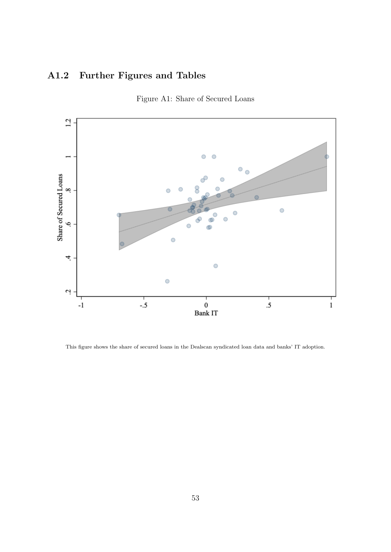# A1.2 Further Figures and Tables



<span id="page-53-0"></span>

This figure shows the share of secured loans in the Dealscan syndicated loan data and banks' IT adoption.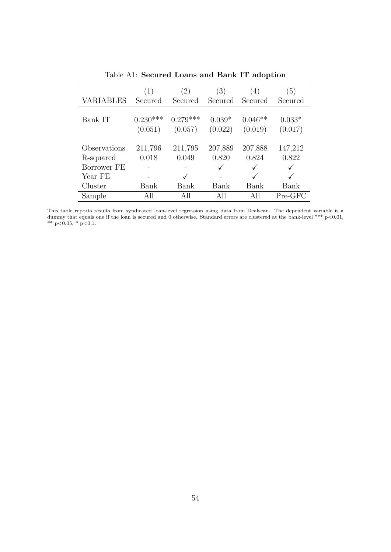<span id="page-54-0"></span>

|                  | (1)        | (2)        | $\left(3\right)$ | $\left(4\right)$ | $\left(5\right)$ |
|------------------|------------|------------|------------------|------------------|------------------|
| <b>VARIABLES</b> | Secured    | Secured    | Secured          | Secured          | Secured          |
|                  |            |            |                  |                  |                  |
| Bank IT          | $0.230***$ | $0.279***$ | $0.039*$         | $0.046**$        | $0.033*$         |
|                  | (0.051)    | (0.057)    | (0.022)          | (0.019)          | (0.017)          |
|                  |            |            |                  |                  |                  |
| Observations     | 211,796    | 211,795    | 207,889          | 207,888          | 147,212          |
| R-squared        | 0.018      | 0.049      | 0.820            | 0.824            | 0.822            |
| Borrower FE      |            |            |                  |                  |                  |
| Year FE          |            |            |                  |                  |                  |
| Cluster          | Bank       | Bank       | Bank             | Bank             | Bank             |
| Sample           | All        | All        | All              | All              | Pre-GFC          |

Table A1: Secured Loans and Bank IT adoption

This table reports results from syndicated loan-level regression using data from Dealscan. The dependent variable is a dummy that equals one if the loan is secured and 0 otherwise. Standard errors are clustered at the bank-level \*\*\* p<0.01, \*\*  $p<0.05$ , \*  $p<0.1$ .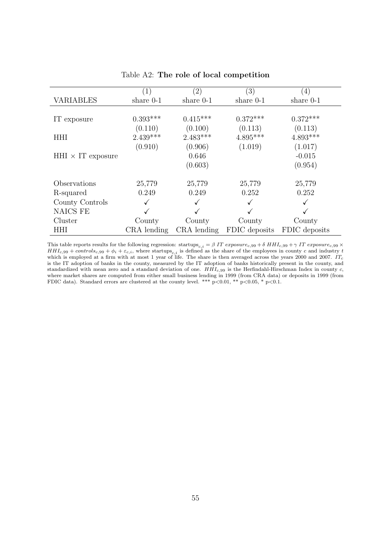<span id="page-55-0"></span>

|                          | $\left( 1\right)$ | $\left( 2\right)$ | $\left( 3\right)$ | $\left(4\right)$ |
|--------------------------|-------------------|-------------------|-------------------|------------------|
| <b>VARIABLES</b>         | share $0-1$       | share $0-1$       | share $0-1$       | share $0-1$      |
|                          |                   |                   |                   |                  |
| IT exposure              | $0.393***$        | $0.415***$        | $0.372***$        | $0.372***$       |
|                          | (0.110)           | (0.100)           | (0.113)           | (0.113)          |
| <b>HHI</b>               | $2.439***$        | $2.483***$        | $4.895***$        | $4.893***$       |
|                          | (0.910)           | (0.906)           | (1.019)           | (1.017)          |
| $HHI \times IT$ exposure |                   | 0.646             |                   | $-0.015$         |
|                          |                   | (0.603)           |                   | (0.954)          |
| Observations             | 25,779            | 25,779            | 25,779            | 25,779           |
| R-squared                | 0.249             | 0.249             | 0.252             | 0.252            |
| County Controls          |                   |                   |                   |                  |
| <b>NAICS FE</b>          |                   |                   |                   |                  |
| Cluster                  | County            | County            | County            | County           |
| <b>HHI</b>               | CRA lending       | CRA lending       | FDIC deposits     | FDIC deposits    |

#### Table A2: The role of local competition

This table reports results for the following regression: startups $c_{c,i} = \beta \ IT \ exposure_{c,99} + \delta \ HH_{c,99} + \gamma \ IT \ exposure_{c,99} \times$  $HH_{c,99} + controls_{c,99} + \phi_i + \varepsilon_{c,i}$ , where startups<sub>c,i</sub> is defined as the share of the employees in county c and industry t which is employed at a firm with at most 1 year of life. The share is then averaged across the years 2000 and 2007. IT<sub>c</sub> is the IT adoption of banks in the county, measured by the IT adoption of banks historically present in the county, and standardized with mean zero and a standard deviation of one.  $HHI_{c,99}$  is the Herfindahl-Hirschman Index in county c, where market shares are computed from either small business lending in 1999 (from CRA data) or deposits in 1999 (from FDIC data). Standard errors are clustered at the county level. \*\*\*  $p<0.01$ , \*\*  $p<0.05$ , \*  $p<0.1$ .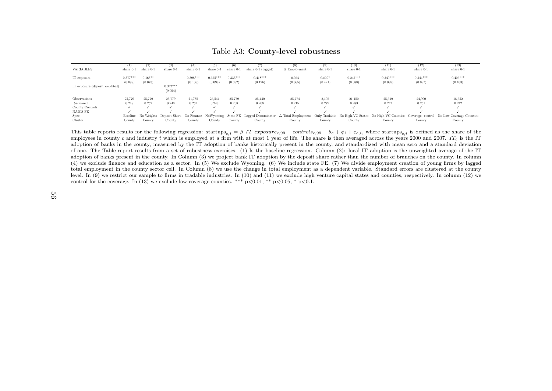|                                | (1)                   | (2)                  | (3)                      | (4)                   | (5)                   |                       |                       |                                                                 | (9)                             | (10)                  | (11)                                                | (12)                  | (13)                                       |
|--------------------------------|-----------------------|----------------------|--------------------------|-----------------------|-----------------------|-----------------------|-----------------------|-----------------------------------------------------------------|---------------------------------|-----------------------|-----------------------------------------------------|-----------------------|--------------------------------------------|
| VARIABLES                      | share 0-1             | share 0-1            | share $0-1$              | share $0-1$           | share 0-1             | share $0-1$           | share 0-1 (lagged)    | $\Delta$ Employment                                             | share 0-1                       | share 0-1             | share 0-1                                           | share $0-1$           | share $0-1$                                |
| IT exposure                    | $0.377***$<br>(0.098) | $0.163**$<br>(0.073) |                          | $0.398***$<br>(0.106) | $0.375***$<br>(0.099) | $0.333***$<br>(0.092) | $0.418***$<br>(0.126) | 0.054<br>(0.065)                                                | $0.809$ <sup>*</sup><br>(0.421) | $0.247***$<br>(0.088) | $0.349***$<br>(0.095)                               | $0.344***$<br>(0.097) | $0.405***$<br>(0.103)                      |
| IT exposure (deposit weighted) |                       |                      | $0.342***$<br>(0.094)    |                       |                       |                       |                       |                                                                 |                                 |                       |                                                     |                       |                                            |
| Observations                   | 25,779                | 25,779               | 25,779                   | 21,735                | 25,544                | 25,779                | 25,440                | 25,774                                                          | 2,105                           | 21,150                | 25,519                                              | 24,900                | 18,652                                     |
| R-squared                      | 0.248                 | 0.252                | 0.248                    | 0.252                 | 0.248                 | 0.268                 | 0.208                 | 0.215                                                           | 0.279                           | 0.283                 | 0.247                                               | 0.251                 | 0.242                                      |
| County Controls                |                       |                      |                          |                       |                       |                       |                       |                                                                 |                                 |                       |                                                     |                       |                                            |
| NAICS FE                       |                       |                      |                          |                       |                       |                       |                       |                                                                 |                                 |                       |                                                     |                       |                                            |
| Spec                           | Baseline              |                      | No Weights Deposit Share | No Finance            |                       |                       |                       | NoWyoming State FE Lagged Denominator $\Delta$ Total Employment |                                 |                       | Only Tradable No High-VC States No High-VC Counties |                       | Coverage: control No Low Coverage Counties |
| Cluster                        | County                | County               | County                   | County                | County                | County                | County                | County                                                          | County                          | County                | County                                              | County                | County                                     |

Table A3: County-level robustness

<span id="page-56-0"></span>This table reports results for the following regression: startups<sub>c,i</sub> = β IT exposure<sub>c,99</sub> + controls<sub>c,99</sub> +  $c + \phi_i + \varepsilon_{c,i}$ , where startups<sub>c,i</sub> is defined as the share of the<br>complements a and industry to which is e employees in county c and industry t which is employed at a firm with at most 1 year of life. The share is then averaged across the years 2000 and 2007.  $IT_c$  is the IT adoption of banks in the county, measured by the IT adoption of banks historically present in the county, and standardized with mean zero and <sup>a</sup> standard deviation of one. The Table report results from <sup>a</sup> set of robustness exercises. (1) Is the baseline regression. Column (2): local IT adoption is the unweighted average of the IT adoption of banks present in the county. In Column (3) we project bank IT adoption by the deposit share rather than the number of branches on the county. In column (4) we exclude finance and education as <sup>a</sup> sector. In (5) We exclude Wyoming. (6) We include state FE. (7) We divide employment creation of young firms by lagged total employment in the county sector cell. In Column (8) we use the change in total employment as <sup>a</sup> dependent variable. Standard errors are clustered at the county level. In (9) we restrict our sample to firms in tradable industries. In (10) and (11) we exclude high venture capital states and counties, respectively. In column (12) wecontrol for the coverage. In (13) we exclude low coverage counties. \*\*\*  $p<0.01$ , \*\*  $p<0.05$ , \*  $p<0.1$ .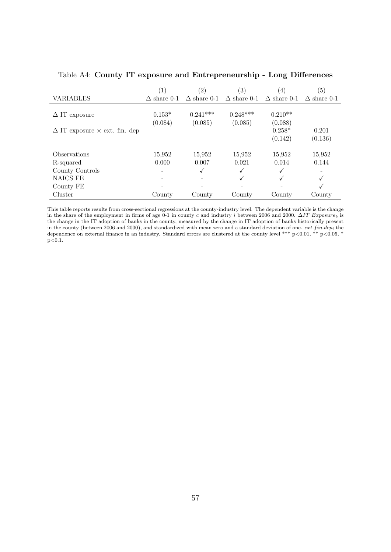|                                             | $\left(1\right)$   | $\left( 2\right)$  | $\left(3\right)$   | (4)                | (5)                |
|---------------------------------------------|--------------------|--------------------|--------------------|--------------------|--------------------|
| <b>VARIABLES</b>                            | $\Delta$ share 0-1 | $\Delta$ share 0-1 | $\Delta$ share 0-1 | $\Delta$ share 0-1 | $\Delta$ share 0-1 |
|                                             |                    |                    |                    |                    |                    |
| $\Delta$ IT exposure                        | $0.153*$           | $0.241***$         | $0.248***$         | $0.210**$          |                    |
|                                             | (0.084)            | (0.085)            | (0.085)            | (0.088)            |                    |
| $\Delta$ IT exposure $\times$ ext. fin. dep |                    |                    |                    | $0.258*$           | 0.201              |
|                                             |                    |                    |                    | (0.142)            | (0.136)            |
|                                             |                    |                    |                    |                    |                    |
| <i><b>Observations</b></i>                  | 15,952             | 15,952             | 15.952             | 15,952             | 15,952             |
| R-squared                                   | 0.000              | 0.007              | 0.021              | 0.014              | 0.144              |
| County Controls                             |                    | ✓                  |                    |                    |                    |
| <b>NAICS FE</b>                             |                    |                    | √                  |                    | √                  |
| County FE                                   |                    |                    |                    |                    |                    |
| Cluster                                     | County             | County             | County             | County             | County             |

<span id="page-57-0"></span>Table A4: County IT exposure and Entrepreneurship - Long Differences

This table reports results from cross-sectional regressions at the county-industry level. The dependent variable is the change in the share of the employment in firms of age 0-1 in county c and industry i between 2006 and 2000. ∆IT Exposure<sub>b</sub> is the change in the IT adoption of banks in the county, measured by the change in IT adoption of banks historically present in the county (between 2006 and 2000), and standardized with mean zero and a standard deviation of one.  $ext.findep_i$  the dependence on external finance in an industry. Standard errors are clustered at the county level \*\*\*  $p<0.01$ , \*\*  $p<0.05$ , \*  ${\rm p}{<}0.1.$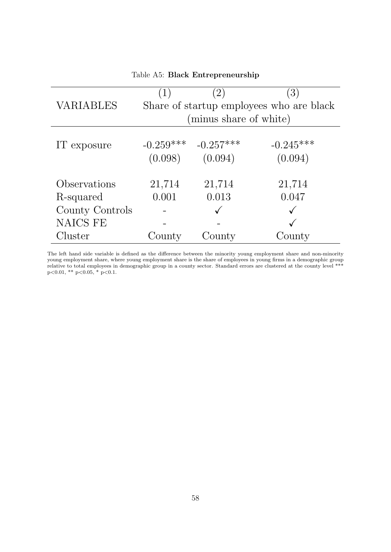<span id="page-58-0"></span>

| <b>VARIABLES</b> | (1)                    | (2)<br>(minus share of white) | (3)<br>Share of startup employees who are black |
|------------------|------------------------|-------------------------------|-------------------------------------------------|
|                  |                        |                               |                                                 |
| IT exposure      | $-0.259***$<br>(0.098) | $-0.257***$<br>(0.094)        | $-0.245***$<br>(0.094)                          |
| Observations     | 21,714                 | 21,714                        | 21,714                                          |
| R-squared        | 0.001                  | 0.013                         | 0.047                                           |
| County Controls  |                        |                               |                                                 |
| <b>NAICS FE</b>  |                        |                               |                                                 |
| Cluster          | County                 | County                        | County                                          |

Table A5: Black Entrepreneurship

The left hand side variable is defined as the difference between the minority young employment share and non-minority young employment share, where young employment share is the share of employees in young firms in a demographic group relative to total employees in demographic group in a county sector. Standard errors are clustered at the county level \*\*\* p<0.01, \*\* p<0.05, \* p<0.1.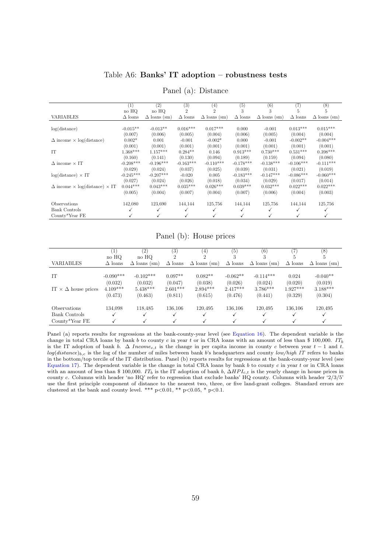#### Table A6: Banks' IT adoption – robustness tests

<span id="page-59-0"></span>

|                                                    | $\left( 1\right)$ | (2)                 | $^{(3)}$       | $\left(4\right)$    | (5)            | (6)                 | $\left( 7\right)$ | $^{(8)}$            |
|----------------------------------------------------|-------------------|---------------------|----------------|---------------------|----------------|---------------------|-------------------|---------------------|
|                                                    | no HQ             | no HQ               | 2              | $\overline{2}$      | 3              | 3                   | 5                 | 5                   |
| <b>VARIABLES</b>                                   | $\Delta$ loans    | $\Delta$ loans (sm) | $\Delta$ loans | $\Delta$ loans (sm) | $\Delta$ loans | $\Delta$ loans (sm) | $\Delta$ loans    | $\Delta$ loans (sm) |
|                                                    |                   |                     |                |                     |                |                     |                   |                     |
| log(distance)                                      | $-0.015**$        | $-0.013**$          | $0.016***$     | $0.017***$          | 0.000          | $-0.001$            | $0.013***$        | $0.015***$          |
|                                                    | (0.007)           | (0.006)             | (0.005)        | (0.004)             | (0.006)        | (0.005)             | (0.004)           | (0.004)             |
| $\Delta$ income $\times$ log(distance)             | $0.002*$          | 0.001               | $-0.001$       | $-0.002*$           | 0.000          | $-0.001$            | $-0.002**$        | $-0.004***$         |
|                                                    | (0.001)           | (0.001)             | (0.001)        | (0.001)             | (0.001)        | (0.001)             | (0.001)           | (0.001)             |
| <b>IT</b>                                          | $1.368***$        | $1.157***$          | $0.284**$      | 0.146               | $0.913***$     | $0.730***$          | $0.531***$        | $0.398***$          |
|                                                    | (0.160)           | (0.141)             | (0.130)        | (0.094)             | (0.189)        | (0.159)             | (0.094)           | (0.080)             |
| $\Delta$ income $\times$ IT                        | $-0.208***$       | $-0.196***$         | $-0.163***$    | $-0.110***$         | $-0.178***$    | $-0.138***$         | $-0.106***$       | $-0.111***$         |
|                                                    | (0.029)           | (0.024)             | (0.037)        | (0.025)             | (0.039)        | (0.031)             | (0.021)           | (0.019)             |
| $log(distance) \times IT$                          | $-0.245***$       | $-0.207***$         | $-0.020$       | 0.005               | $-0.183***$    | $-0.147***$         | $-0.086***$       | $-0.060***$         |
|                                                    | (0.027)           | (0.024)             | (0.026)        | (0.018)             | (0.034)        | (0.029)             | (0.017)           | (0.014)             |
| $\Delta$ income $\times$ log(distance) $\times$ IT | $0.044***$        | $0.043***$          | $0.035***$     | $0.026***$          | $0.039***$     | $0.032***$          | $0.022***$        | $0.022***$          |
|                                                    | (0.005)           | (0.004)             | (0.007)        | (0.004)             | (0.007)        | (0.006)             | (0.004)           | (0.003)             |
| Observations                                       | 142,080           | 123,690             | 144,144        | 125,756             | 144,144        | 125,756             | 144,144           | 125,756             |
| <b>Bank Controls</b>                               |                   |                     |                | ✓                   | ✓              | ✓                   |                   |                     |
| County*Year FE                                     |                   |                     |                | ✓                   |                | √                   |                   |                     |
|                                                    |                   |                     |                |                     |                |                     |                   |                     |

Panel (a): Distance

#### Panel (b): House prices

|                                 | $ 1\rangle$    | (2)                 | $\left( 3\right)$ | (4)                         | (5)            | (6)                 |                | $^{(8)}$            |
|---------------------------------|----------------|---------------------|-------------------|-----------------------------|----------------|---------------------|----------------|---------------------|
|                                 | no HQ          | no HQ               | 2                 | $\mathcal{D}_{\mathcal{L}}$ |                |                     | Ð              | Ð                   |
| <b>VARIABLES</b>                | $\Delta$ loans | $\Delta$ loans (sm) | $\Delta$ loans    | $\Delta$ loans (sm)         | $\Delta$ loans | $\Delta$ loans (sm) | $\Delta$ loans | $\Delta$ loans (sm) |
|                                 |                |                     |                   |                             |                |                     |                |                     |
| <b>IT</b>                       | $-0.090***$    | $-0.102***$         | $0.097**$         | $0.082**$                   | $-0.062**$     | $-0.114***$         | 0.024          | $-0.040**$          |
|                                 | (0.032)        | (0.032)             | (0.047)           | (0.038)                     | (0.026)        | (0.024)             | (0.020)        | (0.019)             |
| IT $\times \Delta$ house prices | $4.109***$     | $5.438***$          | $2.601***$        | $2.894***$                  | $2.417***$     | $3.786***$          | $1.927***$     | $3.188***$          |
|                                 | (0.473)        | (0.463)             | (0.811)           | (0.615)                     | (0.476)        | (0.441)             | (0.329)        | (0.304)             |
| Observations                    | 134,098        | 118,485             | 136,106           | 120,495                     | 136,106        | 120,495             | 136,106        | 120,495             |
| Bank Controls                   |                |                     |                   |                             |                |                     |                |                     |
| $Countv*Year$ FE                |                |                     |                   |                             |                |                     |                |                     |

Panel (a) reports results for regressions at the bank-county-year level (see [Equation 16\)](#page-28-0). The dependent variable is the change in total CRA loans by bank b to county c in year t or in CRA loans with an amount of less than \$ 100,000. ITb is the IT adoption of bank b.  $\Delta$  Income<sub>c,t</sub> is the change in per capita income in county c between year  $t - 1$  and t.  $log(distance)_{b,c}$  is the log of the number of miles between bank b's headquarters and county low/high IT refers to banks in the bottom/top tercile of the IT distribution. Panel (b) reports results for regressions at the bank-county-year level (see [Equation 17\)](#page-30-0). The dependent variable is the change in total CRA loans by bank  $b$  to county  $c$  in year  $t$  or in CRA loans with an amount of less than \$ 100,000. IT<sub>b</sub> is the IT adoption of bank b,  $\Delta HPL_{ct}$  is the yearly change in house prices in county c. Columns with header 'no HQ' refer to regression that exclude banks' HQ county. Columns with header '2/3/5' use the first principle component of distance to the nearest two, three, or five land-grant colleges. Standard errors are clustered at the bank and county level. \*\*\*  $p<0.01$ , \*\*  $p<0.05$ , \*  $p<0.1$ .